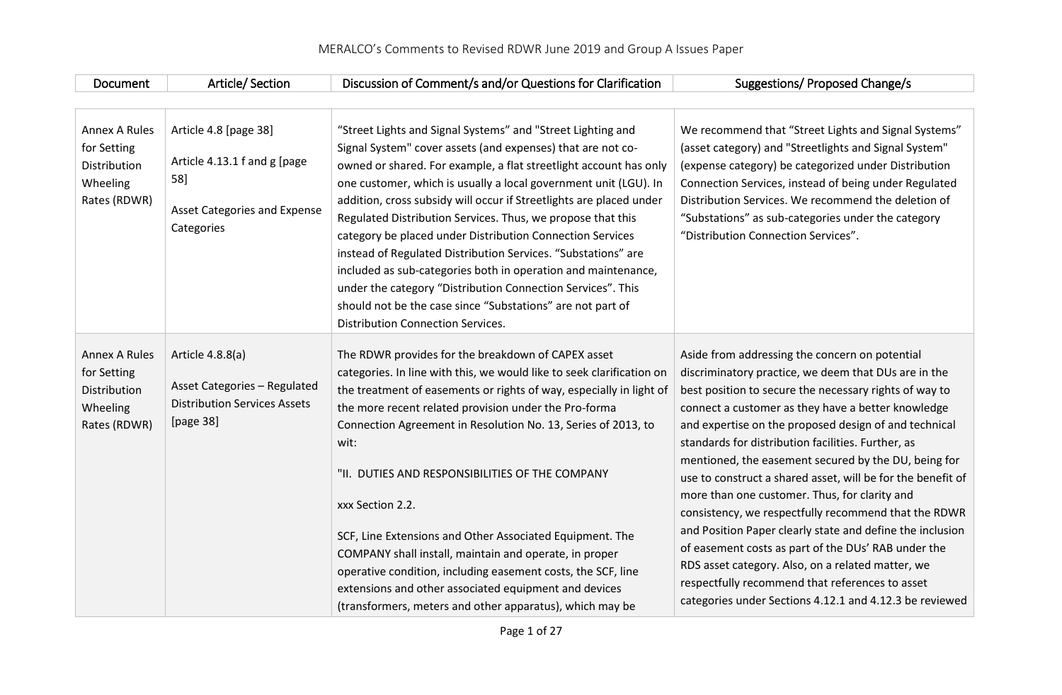| <b>Document</b>                                                                 | Article/Section                                                                                                   | Discussion of Comment/s and/or Questions for Clarification                                                                                                                                                                                                                                                                                                                                                                                                                                                                                                                                                                                                                                                                                                                 | Suggestions/ Proposed Change/s                                                                                                                                                                                                                                                                                                                                                                                                                                                                                                                                                                                                                                                                                                                                                                                                                               |
|---------------------------------------------------------------------------------|-------------------------------------------------------------------------------------------------------------------|----------------------------------------------------------------------------------------------------------------------------------------------------------------------------------------------------------------------------------------------------------------------------------------------------------------------------------------------------------------------------------------------------------------------------------------------------------------------------------------------------------------------------------------------------------------------------------------------------------------------------------------------------------------------------------------------------------------------------------------------------------------------------|--------------------------------------------------------------------------------------------------------------------------------------------------------------------------------------------------------------------------------------------------------------------------------------------------------------------------------------------------------------------------------------------------------------------------------------------------------------------------------------------------------------------------------------------------------------------------------------------------------------------------------------------------------------------------------------------------------------------------------------------------------------------------------------------------------------------------------------------------------------|
|                                                                                 |                                                                                                                   |                                                                                                                                                                                                                                                                                                                                                                                                                                                                                                                                                                                                                                                                                                                                                                            |                                                                                                                                                                                                                                                                                                                                                                                                                                                                                                                                                                                                                                                                                                                                                                                                                                                              |
| <b>Annex A Rules</b><br>for Setting<br>Distribution<br>Wheeling<br>Rates (RDWR) | Article 4.8 [page 38]<br>Article 4.13.1 f and g [page<br>58]<br><b>Asset Categories and Expense</b><br>Categories | "Street Lights and Signal Systems" and "Street Lighting and<br>Signal System" cover assets (and expenses) that are not co-<br>owned or shared. For example, a flat streetlight account has only<br>one customer, which is usually a local government unit (LGU). In<br>addition, cross subsidy will occur if Streetlights are placed under<br>Regulated Distribution Services. Thus, we propose that this<br>category be placed under Distribution Connection Services<br>instead of Regulated Distribution Services. "Substations" are<br>included as sub-categories both in operation and maintenance,<br>under the category "Distribution Connection Services". This<br>should not be the case since "Substations" are not part of<br>Distribution Connection Services. | We recommend that "Street Lights and Signal Systems"<br>(asset category) and "Streetlights and Signal System"<br>(expense category) be categorized under Distribution<br>Connection Services, instead of being under Regulated<br>Distribution Services. We recommend the deletion of<br>"Substations" as sub-categories under the category<br>"Distribution Connection Services".                                                                                                                                                                                                                                                                                                                                                                                                                                                                           |
| <b>Annex A Rules</b><br>for Setting<br>Distribution<br>Wheeling<br>Rates (RDWR) | Article 4.8.8(a)<br><b>Asset Categories - Regulated</b><br><b>Distribution Services Assets</b><br>[page 38]       | The RDWR provides for the breakdown of CAPEX asset<br>categories. In line with this, we would like to seek clarification on<br>the treatment of easements or rights of way, especially in light of<br>the more recent related provision under the Pro-forma<br>Connection Agreement in Resolution No. 13, Series of 2013, to<br>wit:<br>"II. DUTIES AND RESPONSIBILITIES OF THE COMPANY<br>xxx Section 2.2.<br>SCF, Line Extensions and Other Associated Equipment. The<br>COMPANY shall install, maintain and operate, in proper<br>operative condition, including easement costs, the SCF, line<br>extensions and other associated equipment and devices<br>(transformers, meters and other apparatus), which may be                                                     | Aside from addressing the concern on potential<br>discriminatory practice, we deem that DUs are in the<br>best position to secure the necessary rights of way to<br>connect a customer as they have a better knowledge<br>and expertise on the proposed design of and technical<br>standards for distribution facilities. Further, as<br>mentioned, the easement secured by the DU, being for<br>use to construct a shared asset, will be for the benefit of<br>more than one customer. Thus, for clarity and<br>consistency, we respectfully recommend that the RDWR<br>and Position Paper clearly state and define the inclusion<br>of easement costs as part of the DUs' RAB under the<br>RDS asset category. Also, on a related matter, we<br>respectfully recommend that references to asset<br>categories under Sections 4.12.1 and 4.12.3 be reviewed |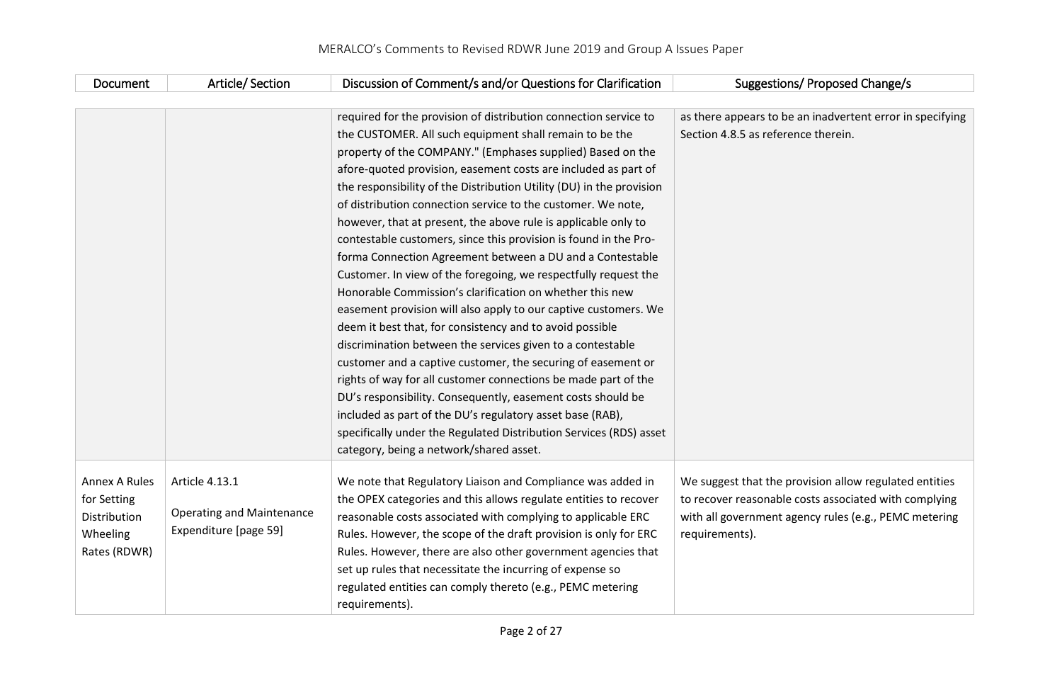| Document      | Article/Section                  | Discussion of Comment/s and/or Questions for Clarification           | Suggestions/ Proposed Change/s                            |
|---------------|----------------------------------|----------------------------------------------------------------------|-----------------------------------------------------------|
|               |                                  |                                                                      |                                                           |
|               |                                  | required for the provision of distribution connection service to     | as there appears to be an inadvertent error in specifying |
|               |                                  | the CUSTOMER. All such equipment shall remain to be the              | Section 4.8.5 as reference therein.                       |
|               |                                  | property of the COMPANY." (Emphases supplied) Based on the           |                                                           |
|               |                                  | afore-quoted provision, easement costs are included as part of       |                                                           |
|               |                                  | the responsibility of the Distribution Utility (DU) in the provision |                                                           |
|               |                                  | of distribution connection service to the customer. We note,         |                                                           |
|               |                                  | however, that at present, the above rule is applicable only to       |                                                           |
|               |                                  | contestable customers, since this provision is found in the Pro-     |                                                           |
|               |                                  | forma Connection Agreement between a DU and a Contestable            |                                                           |
|               |                                  | Customer. In view of the foregoing, we respectfully request the      |                                                           |
|               |                                  | Honorable Commission's clarification on whether this new             |                                                           |
|               |                                  | easement provision will also apply to our captive customers. We      |                                                           |
|               |                                  | deem it best that, for consistency and to avoid possible             |                                                           |
|               |                                  | discrimination between the services given to a contestable           |                                                           |
|               |                                  | customer and a captive customer, the securing of easement or         |                                                           |
|               |                                  | rights of way for all customer connections be made part of the       |                                                           |
|               |                                  | DU's responsibility. Consequently, easement costs should be          |                                                           |
|               |                                  | included as part of the DU's regulatory asset base (RAB),            |                                                           |
|               |                                  | specifically under the Regulated Distribution Services (RDS) asset   |                                                           |
|               |                                  | category, being a network/shared asset.                              |                                                           |
|               |                                  |                                                                      |                                                           |
| Annex A Rules | Article 4.13.1                   | We note that Regulatory Liaison and Compliance was added in          | We suggest that the provision allow regulated entities    |
| for Setting   |                                  | the OPEX categories and this allows regulate entities to recover     | to recover reasonable costs associated with complying     |
| Distribution  | <b>Operating and Maintenance</b> | reasonable costs associated with complying to applicable ERC         | with all government agency rules (e.g., PEMC metering     |
| Wheeling      | Expenditure [page 59]            | Rules. However, the scope of the draft provision is only for ERC     | requirements).                                            |
| Rates (RDWR)  |                                  | Rules. However, there are also other government agencies that        |                                                           |
|               |                                  | set up rules that necessitate the incurring of expense so            |                                                           |
|               |                                  | regulated entities can comply thereto (e.g., PEMC metering           |                                                           |
|               |                                  | requirements).                                                       |                                                           |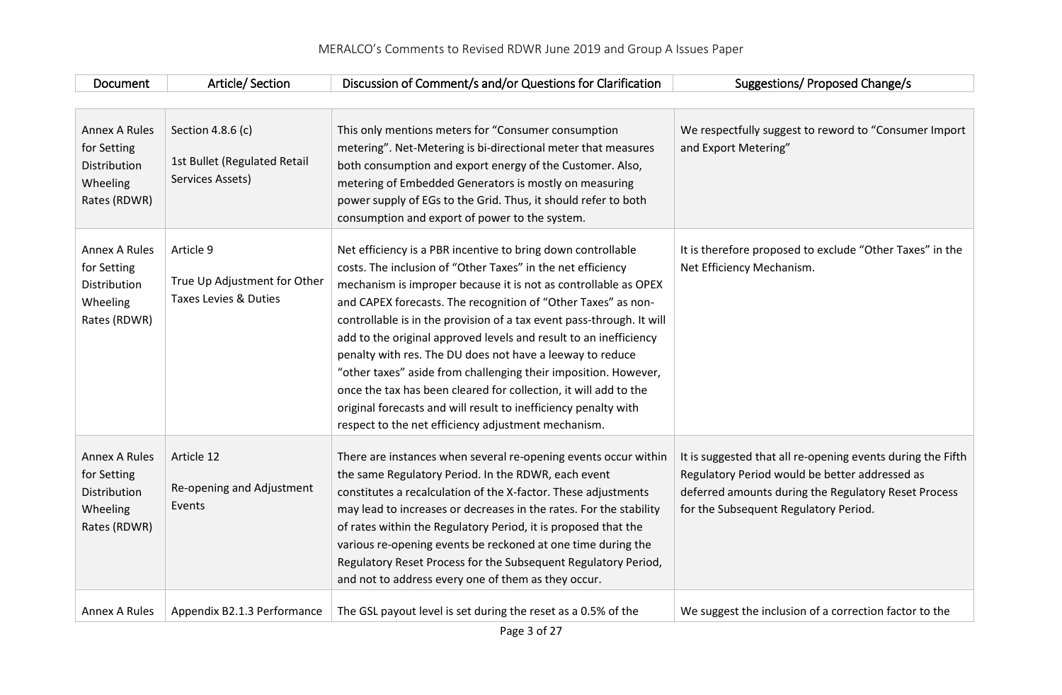| Document                                                                        | Article/Section                                                       | Discussion of Comment/s and/or Questions for Clarification                                                                                                                                                                                                                                                                                                                                                                                                                                                                                                                                                                                                                                                                                  | <b>Suggestions/ Proposed Change/s</b>                                                                                                                                                                          |
|---------------------------------------------------------------------------------|-----------------------------------------------------------------------|---------------------------------------------------------------------------------------------------------------------------------------------------------------------------------------------------------------------------------------------------------------------------------------------------------------------------------------------------------------------------------------------------------------------------------------------------------------------------------------------------------------------------------------------------------------------------------------------------------------------------------------------------------------------------------------------------------------------------------------------|----------------------------------------------------------------------------------------------------------------------------------------------------------------------------------------------------------------|
|                                                                                 |                                                                       |                                                                                                                                                                                                                                                                                                                                                                                                                                                                                                                                                                                                                                                                                                                                             |                                                                                                                                                                                                                |
| <b>Annex A Rules</b><br>for Setting<br>Distribution<br>Wheeling<br>Rates (RDWR) | Section 4.8.6 (c)<br>1st Bullet (Regulated Retail<br>Services Assets) | This only mentions meters for "Consumer consumption<br>metering". Net-Metering is bi-directional meter that measures<br>both consumption and export energy of the Customer. Also,<br>metering of Embedded Generators is mostly on measuring<br>power supply of EGs to the Grid. Thus, it should refer to both<br>consumption and export of power to the system.                                                                                                                                                                                                                                                                                                                                                                             | We respectfully suggest to reword to "Consumer Import<br>and Export Metering"                                                                                                                                  |
| <b>Annex A Rules</b><br>for Setting<br>Distribution<br>Wheeling<br>Rates (RDWR) | Article 9<br>True Up Adjustment for Other<br>Taxes Levies & Duties    | Net efficiency is a PBR incentive to bring down controllable<br>costs. The inclusion of "Other Taxes" in the net efficiency<br>mechanism is improper because it is not as controllable as OPEX<br>and CAPEX forecasts. The recognition of "Other Taxes" as non-<br>controllable is in the provision of a tax event pass-through. It will<br>add to the original approved levels and result to an inefficiency<br>penalty with res. The DU does not have a leeway to reduce<br>"other taxes" aside from challenging their imposition. However,<br>once the tax has been cleared for collection, it will add to the<br>original forecasts and will result to inefficiency penalty with<br>respect to the net efficiency adjustment mechanism. | It is therefore proposed to exclude "Other Taxes" in the<br>Net Efficiency Mechanism.                                                                                                                          |
| <b>Annex A Rules</b><br>for Setting<br>Distribution<br>Wheeling<br>Rates (RDWR) | Article 12<br>Re-opening and Adjustment<br>Events                     | There are instances when several re-opening events occur within<br>the same Regulatory Period. In the RDWR, each event<br>constitutes a recalculation of the X-factor. These adjustments<br>may lead to increases or decreases in the rates. For the stability<br>of rates within the Regulatory Period, it is proposed that the<br>various re-opening events be reckoned at one time during the<br>Regulatory Reset Process for the Subsequent Regulatory Period,<br>and not to address every one of them as they occur.                                                                                                                                                                                                                   | It is suggested that all re-opening events during the Fifth<br>Regulatory Period would be better addressed as<br>deferred amounts during the Regulatory Reset Process<br>for the Subsequent Regulatory Period. |
| <b>Annex A Rules</b>                                                            | Appendix B2.1.3 Performance                                           | The GSL payout level is set during the reset as a 0.5% of the                                                                                                                                                                                                                                                                                                                                                                                                                                                                                                                                                                                                                                                                               | We suggest the inclusion of a correction factor to the                                                                                                                                                         |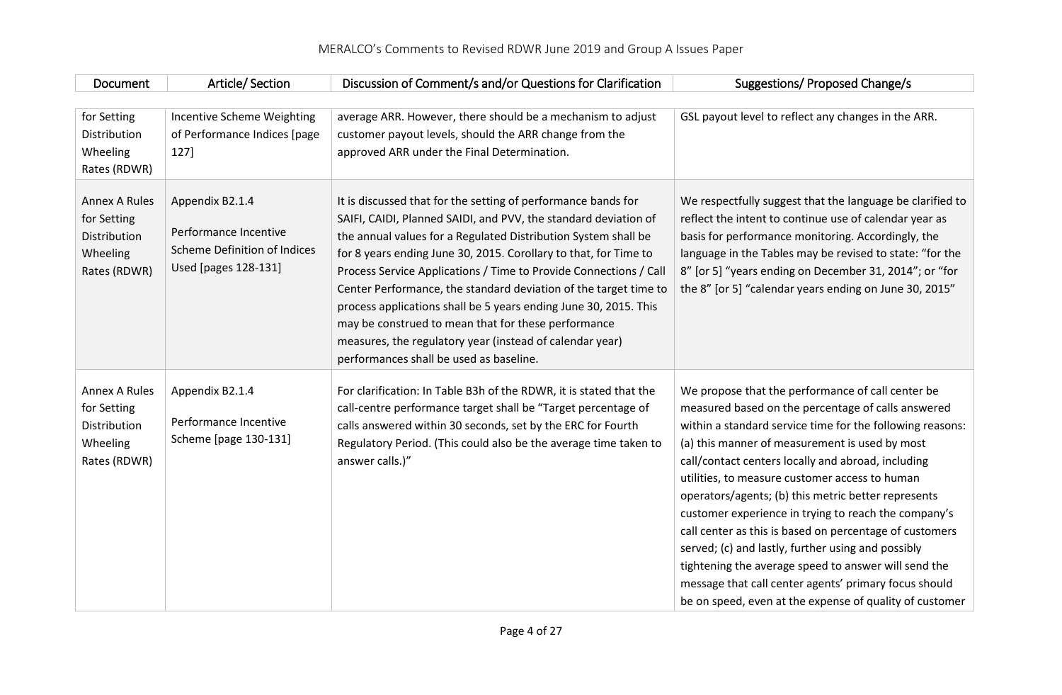| Document                                                                        | Article/Section                                                                                         | Discussion of Comment/s and/or Questions for Clarification                                                                                                                                                                                                                                                                                                                                                                                                                                                                                                                                                                                        | Suggestions/ Proposed Change/s                                                                                                                                                                                                                                                                                                                                                                                                                                                                                                                                                                                                                                                                                                             |
|---------------------------------------------------------------------------------|---------------------------------------------------------------------------------------------------------|---------------------------------------------------------------------------------------------------------------------------------------------------------------------------------------------------------------------------------------------------------------------------------------------------------------------------------------------------------------------------------------------------------------------------------------------------------------------------------------------------------------------------------------------------------------------------------------------------------------------------------------------------|--------------------------------------------------------------------------------------------------------------------------------------------------------------------------------------------------------------------------------------------------------------------------------------------------------------------------------------------------------------------------------------------------------------------------------------------------------------------------------------------------------------------------------------------------------------------------------------------------------------------------------------------------------------------------------------------------------------------------------------------|
|                                                                                 |                                                                                                         |                                                                                                                                                                                                                                                                                                                                                                                                                                                                                                                                                                                                                                                   |                                                                                                                                                                                                                                                                                                                                                                                                                                                                                                                                                                                                                                                                                                                                            |
| for Setting<br>Distribution<br>Wheeling<br>Rates (RDWR)                         | Incentive Scheme Weighting<br>of Performance Indices [page<br>127]                                      | average ARR. However, there should be a mechanism to adjust<br>customer payout levels, should the ARR change from the<br>approved ARR under the Final Determination.                                                                                                                                                                                                                                                                                                                                                                                                                                                                              | GSL payout level to reflect any changes in the ARR.                                                                                                                                                                                                                                                                                                                                                                                                                                                                                                                                                                                                                                                                                        |
| <b>Annex A Rules</b><br>for Setting<br>Distribution<br>Wheeling<br>Rates (RDWR) | Appendix B2.1.4<br>Performance Incentive<br><b>Scheme Definition of Indices</b><br>Used [pages 128-131] | It is discussed that for the setting of performance bands for<br>SAIFI, CAIDI, Planned SAIDI, and PVV, the standard deviation of<br>the annual values for a Regulated Distribution System shall be<br>for 8 years ending June 30, 2015. Corollary to that, for Time to<br>Process Service Applications / Time to Provide Connections / Call<br>Center Performance, the standard deviation of the target time to<br>process applications shall be 5 years ending June 30, 2015. This<br>may be construed to mean that for these performance<br>measures, the regulatory year (instead of calendar year)<br>performances shall be used as baseline. | We respectfully suggest that the language be clarified to<br>reflect the intent to continue use of calendar year as<br>basis for performance monitoring. Accordingly, the<br>language in the Tables may be revised to state: "for the<br>8" [or 5] "years ending on December 31, 2014"; or "for<br>the 8" [or 5] "calendar years ending on June 30, 2015"                                                                                                                                                                                                                                                                                                                                                                                  |
| <b>Annex A Rules</b><br>for Setting<br>Distribution<br>Wheeling<br>Rates (RDWR) | Appendix B2.1.4<br>Performance Incentive<br>Scheme [page 130-131]                                       | For clarification: In Table B3h of the RDWR, it is stated that the<br>call-centre performance target shall be "Target percentage of<br>calls answered within 30 seconds, set by the ERC for Fourth<br>Regulatory Period. (This could also be the average time taken to<br>answer calls.)"                                                                                                                                                                                                                                                                                                                                                         | We propose that the performance of call center be<br>measured based on the percentage of calls answered<br>within a standard service time for the following reasons:<br>(a) this manner of measurement is used by most<br>call/contact centers locally and abroad, including<br>utilities, to measure customer access to human<br>operators/agents; (b) this metric better represents<br>customer experience in trying to reach the company's<br>call center as this is based on percentage of customers<br>served; (c) and lastly, further using and possibly<br>tightening the average speed to answer will send the<br>message that call center agents' primary focus should<br>be on speed, even at the expense of quality of customer |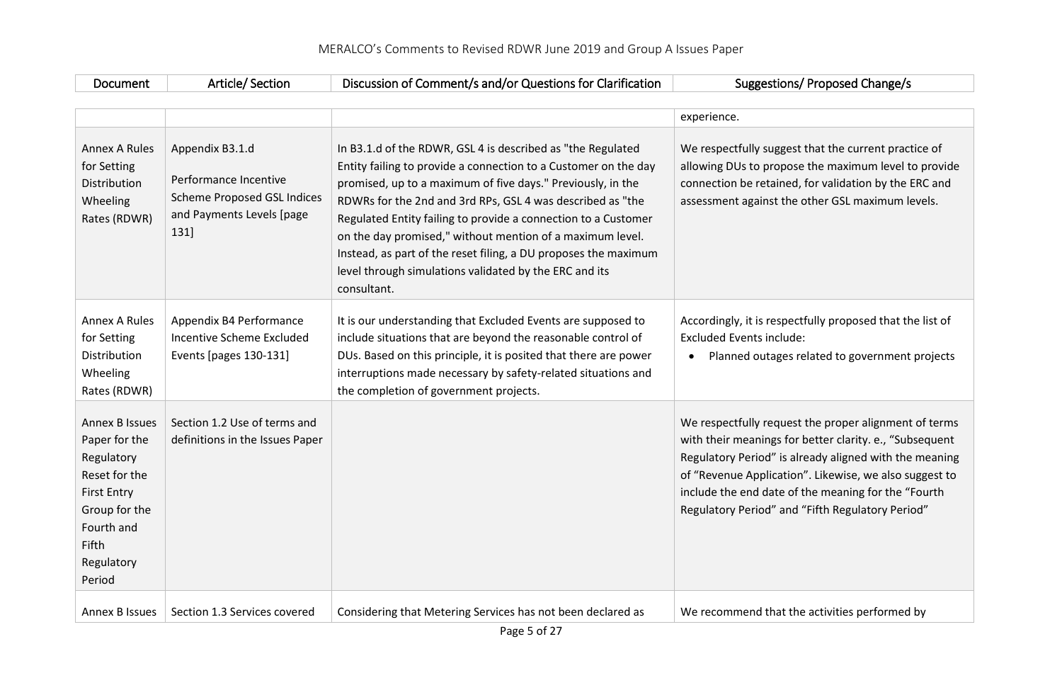| Document | Section<br>/ ۲۱۴۱۵ | $-$<br>Comment/s and/or Questions for Clarification<br>Discussion of C | / Proposed Change/s<br>/uggestions |
|----------|--------------------|------------------------------------------------------------------------|------------------------------------|

 $\begin{bmatrix} \phantom{-} \end{bmatrix}$ 

|                                                                                                                                                             |                                                                                                                     |                                                                                                                                                                                                                                                                                                                                                                                                                                                                                                                                        | experience.                                                                                                                                                                                                                                                                                                                                     |
|-------------------------------------------------------------------------------------------------------------------------------------------------------------|---------------------------------------------------------------------------------------------------------------------|----------------------------------------------------------------------------------------------------------------------------------------------------------------------------------------------------------------------------------------------------------------------------------------------------------------------------------------------------------------------------------------------------------------------------------------------------------------------------------------------------------------------------------------|-------------------------------------------------------------------------------------------------------------------------------------------------------------------------------------------------------------------------------------------------------------------------------------------------------------------------------------------------|
| Annex A Rules<br>for Setting<br>Distribution<br>Wheeling<br>Rates (RDWR)                                                                                    | Appendix B3.1.d<br>Performance Incentive<br><b>Scheme Proposed GSL Indices</b><br>and Payments Levels [page<br>131] | In B3.1.d of the RDWR, GSL 4 is described as "the Regulated<br>Entity failing to provide a connection to a Customer on the day<br>promised, up to a maximum of five days." Previously, in the<br>RDWRs for the 2nd and 3rd RPs, GSL 4 was described as "the<br>Regulated Entity failing to provide a connection to a Customer<br>on the day promised," without mention of a maximum level.<br>Instead, as part of the reset filing, a DU proposes the maximum<br>level through simulations validated by the ERC and its<br>consultant. | We respectfully suggest that the current practice of<br>allowing DUs to propose the maximum level to provide<br>connection be retained, for validation by the ERC and<br>assessment against the other GSL maximum levels.                                                                                                                       |
| <b>Annex A Rules</b><br>for Setting<br>Distribution<br>Wheeling<br>Rates (RDWR)                                                                             | Appendix B4 Performance<br>Incentive Scheme Excluded<br>Events [pages 130-131]                                      | It is our understanding that Excluded Events are supposed to<br>include situations that are beyond the reasonable control of<br>DUs. Based on this principle, it is posited that there are power<br>interruptions made necessary by safety-related situations and<br>the completion of government projects.                                                                                                                                                                                                                            | Accordingly, it is respectfully proposed that the list of<br><b>Excluded Events include:</b><br>Planned outages related to government projects<br>$\bullet$                                                                                                                                                                                     |
| <b>Annex B Issues</b><br>Paper for the<br>Regulatory<br>Reset for the<br><b>First Entry</b><br>Group for the<br>Fourth and<br>Fifth<br>Regulatory<br>Period | Section 1.2 Use of terms and<br>definitions in the Issues Paper                                                     |                                                                                                                                                                                                                                                                                                                                                                                                                                                                                                                                        | We respectfully request the proper alignment of terms<br>with their meanings for better clarity. e., "Subsequent<br>Regulatory Period" is already aligned with the meaning<br>of "Revenue Application". Likewise, we also suggest to<br>include the end date of the meaning for the "Fourth<br>Regulatory Period" and "Fifth Regulatory Period" |
| Annex B Issues                                                                                                                                              | Section 1.3 Services covered                                                                                        | Considering that Metering Services has not been declared as                                                                                                                                                                                                                                                                                                                                                                                                                                                                            | We recommend that the activities performed by                                                                                                                                                                                                                                                                                                   |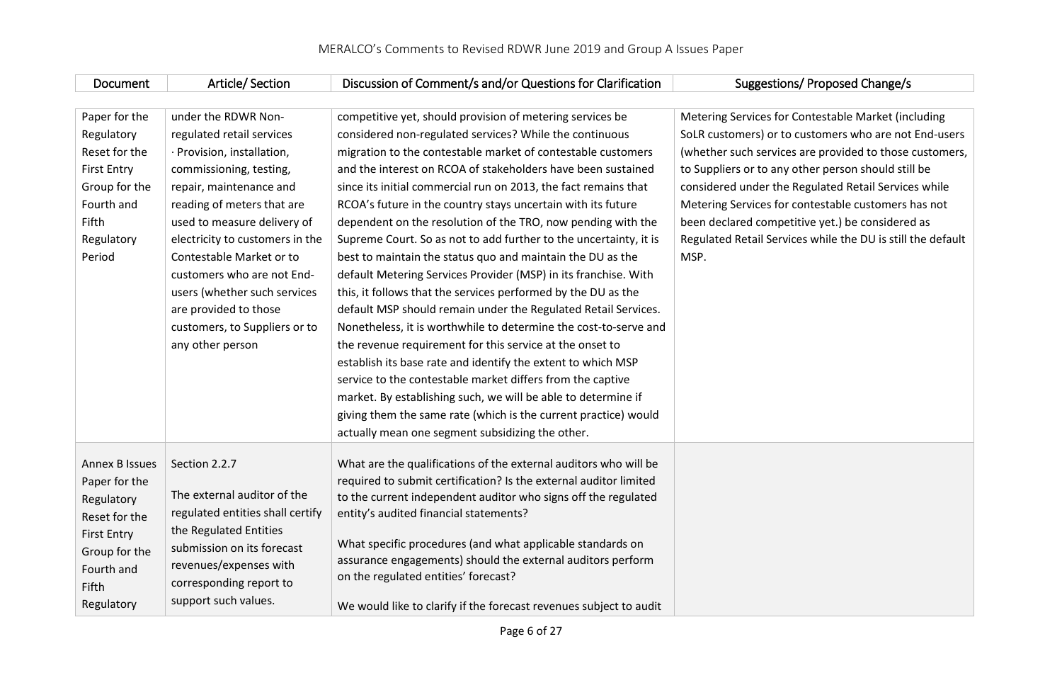| Document              | Article/Section                  | Discussion of Comment/s and/or Questions for Clarification                                          | Suggestions/ Proposed Change/s                              |
|-----------------------|----------------------------------|-----------------------------------------------------------------------------------------------------|-------------------------------------------------------------|
|                       |                                  |                                                                                                     |                                                             |
| Paper for the         | under the RDWR Non-              | competitive yet, should provision of metering services be                                           | Metering Services for Contestable Market (including         |
| Regulatory            | regulated retail services        | considered non-regulated services? While the continuous                                             | SoLR customers) or to customers who are not End-users       |
| Reset for the         | · Provision, installation,       | migration to the contestable market of contestable customers                                        | (whether such services are provided to those customers,     |
| <b>First Entry</b>    | commissioning, testing,          | and the interest on RCOA of stakeholders have been sustained                                        | to Suppliers or to any other person should still be         |
| Group for the         | repair, maintenance and          | since its initial commercial run on 2013, the fact remains that                                     | considered under the Regulated Retail Services while        |
| Fourth and            | reading of meters that are       | RCOA's future in the country stays uncertain with its future                                        | Metering Services for contestable customers has not         |
| Fifth                 | used to measure delivery of      | dependent on the resolution of the TRO, now pending with the                                        | been declared competitive yet.) be considered as            |
| Regulatory            | electricity to customers in the  | Supreme Court. So as not to add further to the uncertainty, it is                                   | Regulated Retail Services while the DU is still the default |
| Period                | Contestable Market or to         | best to maintain the status quo and maintain the DU as the                                          | MSP.                                                        |
|                       | customers who are not End-       | default Metering Services Provider (MSP) in its franchise. With                                     |                                                             |
|                       | users (whether such services     | this, it follows that the services performed by the DU as the                                       |                                                             |
|                       | are provided to those            | default MSP should remain under the Regulated Retail Services.                                      |                                                             |
|                       | customers, to Suppliers or to    | Nonetheless, it is worthwhile to determine the cost-to-serve and                                    |                                                             |
|                       | any other person                 | the revenue requirement for this service at the onset to                                            |                                                             |
|                       |                                  | establish its base rate and identify the extent to which MSP                                        |                                                             |
|                       |                                  | service to the contestable market differs from the captive                                          |                                                             |
|                       |                                  | market. By establishing such, we will be able to determine if                                       |                                                             |
|                       |                                  | giving them the same rate (which is the current practice) would                                     |                                                             |
|                       |                                  | actually mean one segment subsidizing the other.                                                    |                                                             |
|                       |                                  |                                                                                                     |                                                             |
| <b>Annex B Issues</b> | Section 2.2.7                    | What are the qualifications of the external auditors who will be                                    |                                                             |
| Paper for the         |                                  | required to submit certification? Is the external auditor limited                                   |                                                             |
| Regulatory            | The external auditor of the      | to the current independent auditor who signs off the regulated                                      |                                                             |
| Reset for the         | regulated entities shall certify | entity's audited financial statements?                                                              |                                                             |
| <b>First Entry</b>    | the Regulated Entities           |                                                                                                     |                                                             |
| Group for the         | submission on its forecast       | What specific procedures (and what applicable standards on                                          |                                                             |
| Fourth and            | revenues/expenses with           | assurance engagements) should the external auditors perform<br>on the regulated entities' forecast? |                                                             |
| Fifth                 | corresponding report to          |                                                                                                     |                                                             |
| Regulatory            | support such values.             | We would like to clarify if the forecast revenues subject to audit                                  |                                                             |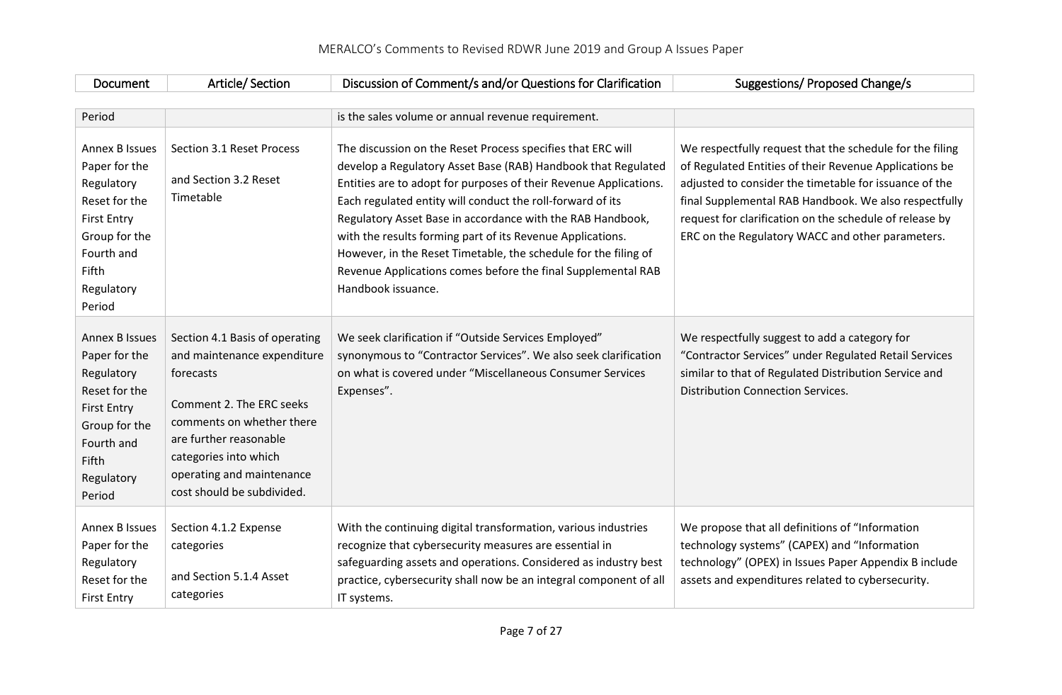| Document                                                                                                                                                           | Article/Section                                                                                                                                                                                                                                   | Discussion of Comment/s and/or Questions for Clarification                                                                                                                                                                                                                                                                                                                                                                                                                                                                                           | Suggestions/ Proposed Change/s                                                                                                                                                                                                                                                                                                                       |
|--------------------------------------------------------------------------------------------------------------------------------------------------------------------|---------------------------------------------------------------------------------------------------------------------------------------------------------------------------------------------------------------------------------------------------|------------------------------------------------------------------------------------------------------------------------------------------------------------------------------------------------------------------------------------------------------------------------------------------------------------------------------------------------------------------------------------------------------------------------------------------------------------------------------------------------------------------------------------------------------|------------------------------------------------------------------------------------------------------------------------------------------------------------------------------------------------------------------------------------------------------------------------------------------------------------------------------------------------------|
|                                                                                                                                                                    |                                                                                                                                                                                                                                                   |                                                                                                                                                                                                                                                                                                                                                                                                                                                                                                                                                      |                                                                                                                                                                                                                                                                                                                                                      |
| Period                                                                                                                                                             |                                                                                                                                                                                                                                                   | is the sales volume or annual revenue requirement.                                                                                                                                                                                                                                                                                                                                                                                                                                                                                                   |                                                                                                                                                                                                                                                                                                                                                      |
| <b>Annex B Issues</b><br>Paper for the<br>Regulatory<br>Reset for the<br><b>First Entry</b><br>Group for the<br>Fourth and<br><b>Fifth</b><br>Regulatory<br>Period | Section 3.1 Reset Process<br>and Section 3.2 Reset<br>Timetable                                                                                                                                                                                   | The discussion on the Reset Process specifies that ERC will<br>develop a Regulatory Asset Base (RAB) Handbook that Regulated<br>Entities are to adopt for purposes of their Revenue Applications.<br>Each regulated entity will conduct the roll-forward of its<br>Regulatory Asset Base in accordance with the RAB Handbook,<br>with the results forming part of its Revenue Applications.<br>However, in the Reset Timetable, the schedule for the filing of<br>Revenue Applications comes before the final Supplemental RAB<br>Handbook issuance. | We respectfully request that the schedule for the filing<br>of Regulated Entities of their Revenue Applications be<br>adjusted to consider the timetable for issuance of the<br>final Supplemental RAB Handbook. We also respectfully<br>request for clarification on the schedule of release by<br>ERC on the Regulatory WACC and other parameters. |
| Annex B Issues<br>Paper for the<br>Regulatory<br>Reset for the<br><b>First Entry</b><br>Group for the<br>Fourth and<br>Fifth<br>Regulatory<br>Period               | Section 4.1 Basis of operating<br>and maintenance expenditure<br>forecasts<br>Comment 2. The ERC seeks<br>comments on whether there<br>are further reasonable<br>categories into which<br>operating and maintenance<br>cost should be subdivided. | We seek clarification if "Outside Services Employed"<br>synonymous to "Contractor Services". We also seek clarification<br>on what is covered under "Miscellaneous Consumer Services<br>Expenses".                                                                                                                                                                                                                                                                                                                                                   | We respectfully suggest to add a category for<br>"Contractor Services" under Regulated Retail Services<br>similar to that of Regulated Distribution Service and<br><b>Distribution Connection Services.</b>                                                                                                                                          |
| <b>Annex B Issues</b><br>Paper for the<br>Regulatory<br>Reset for the<br><b>First Entry</b>                                                                        | Section 4.1.2 Expense<br>categories<br>and Section 5.1.4 Asset<br>categories                                                                                                                                                                      | With the continuing digital transformation, various industries<br>recognize that cybersecurity measures are essential in<br>safeguarding assets and operations. Considered as industry best<br>practice, cybersecurity shall now be an integral component of all<br>IT systems.                                                                                                                                                                                                                                                                      | We propose that all definitions of "Information<br>technology systems" (CAPEX) and "Information<br>technology" (OPEX) in Issues Paper Appendix B include<br>assets and expenditures related to cybersecurity.                                                                                                                                        |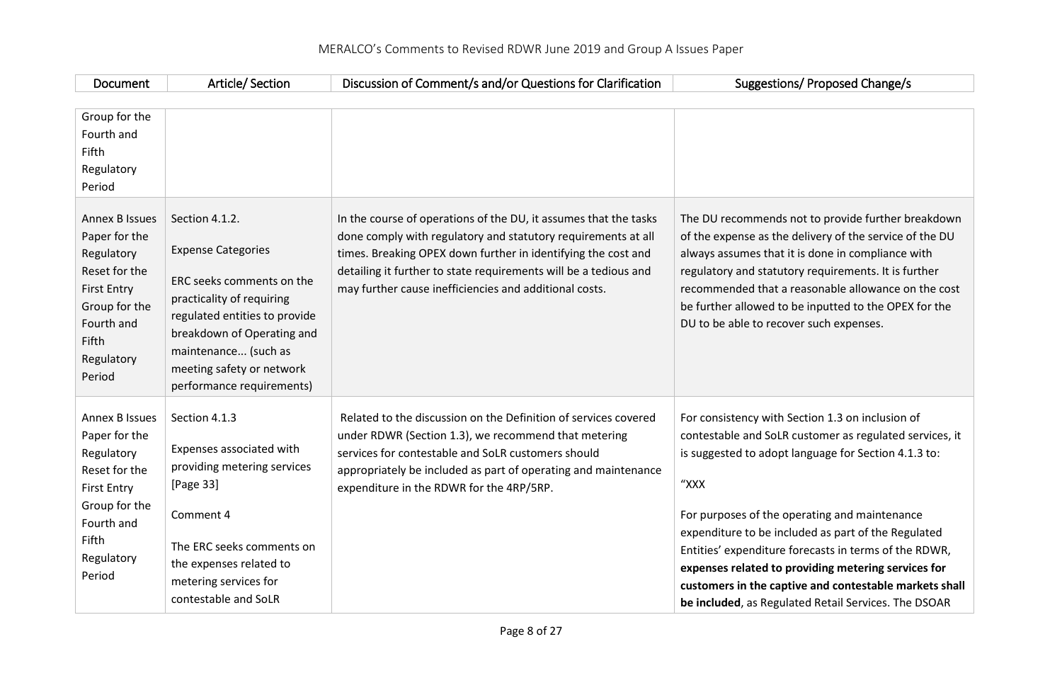| Document                                                                                                                                                    | Article/Section                                                                                                                                                                                                                                        | Discussion of Comment/s and/or Questions for Clarification                                                                                                                                                                                                                                                                       | Suggestions/ Proposed Change/s                                                                                                                                                                                                                                                                                                                                                                                                                                                                                        |
|-------------------------------------------------------------------------------------------------------------------------------------------------------------|--------------------------------------------------------------------------------------------------------------------------------------------------------------------------------------------------------------------------------------------------------|----------------------------------------------------------------------------------------------------------------------------------------------------------------------------------------------------------------------------------------------------------------------------------------------------------------------------------|-----------------------------------------------------------------------------------------------------------------------------------------------------------------------------------------------------------------------------------------------------------------------------------------------------------------------------------------------------------------------------------------------------------------------------------------------------------------------------------------------------------------------|
| Group for the<br>Fourth and<br>Fifth<br>Regulatory<br>Period                                                                                                |                                                                                                                                                                                                                                                        |                                                                                                                                                                                                                                                                                                                                  |                                                                                                                                                                                                                                                                                                                                                                                                                                                                                                                       |
| <b>Annex B Issues</b><br>Paper for the<br>Regulatory<br>Reset for the<br><b>First Entry</b><br>Group for the<br>Fourth and<br>Fifth<br>Regulatory<br>Period | Section 4.1.2.<br><b>Expense Categories</b><br>ERC seeks comments on the<br>practicality of requiring<br>regulated entities to provide<br>breakdown of Operating and<br>maintenance (such as<br>meeting safety or network<br>performance requirements) | In the course of operations of the DU, it assumes that the tasks<br>done comply with regulatory and statutory requirements at all<br>times. Breaking OPEX down further in identifying the cost and<br>detailing it further to state requirements will be a tedious and<br>may further cause inefficiencies and additional costs. | The DU recommends not to provide further breakdown<br>of the expense as the delivery of the service of the DU<br>always assumes that it is done in compliance with<br>regulatory and statutory requirements. It is further<br>recommended that a reasonable allowance on the cost<br>be further allowed to be inputted to the OPEX for the<br>DU to be able to recover such expenses.                                                                                                                                 |
| <b>Annex B Issues</b><br>Paper for the<br>Regulatory<br>Reset for the<br><b>First Entry</b><br>Group for the<br>Fourth and<br>Fifth<br>Regulatory<br>Period | Section 4.1.3<br>Expenses associated with<br>providing metering services<br>[Page 33]<br>Comment 4<br>The ERC seeks comments on<br>the expenses related to<br>metering services for<br>contestable and SoLR                                            | Related to the discussion on the Definition of services covered<br>under RDWR (Section 1.3), we recommend that metering<br>services for contestable and SoLR customers should<br>appropriately be included as part of operating and maintenance<br>expenditure in the RDWR for the 4RP/5RP.                                      | For consistency with Section 1.3 on inclusion of<br>contestable and SoLR customer as regulated services, it<br>is suggested to adopt language for Section 4.1.3 to:<br>"XXX<br>For purposes of the operating and maintenance<br>expenditure to be included as part of the Regulated<br>Entities' expenditure forecasts in terms of the RDWR,<br>expenses related to providing metering services for<br>customers in the captive and contestable markets shall<br>be included, as Regulated Retail Services. The DSOAR |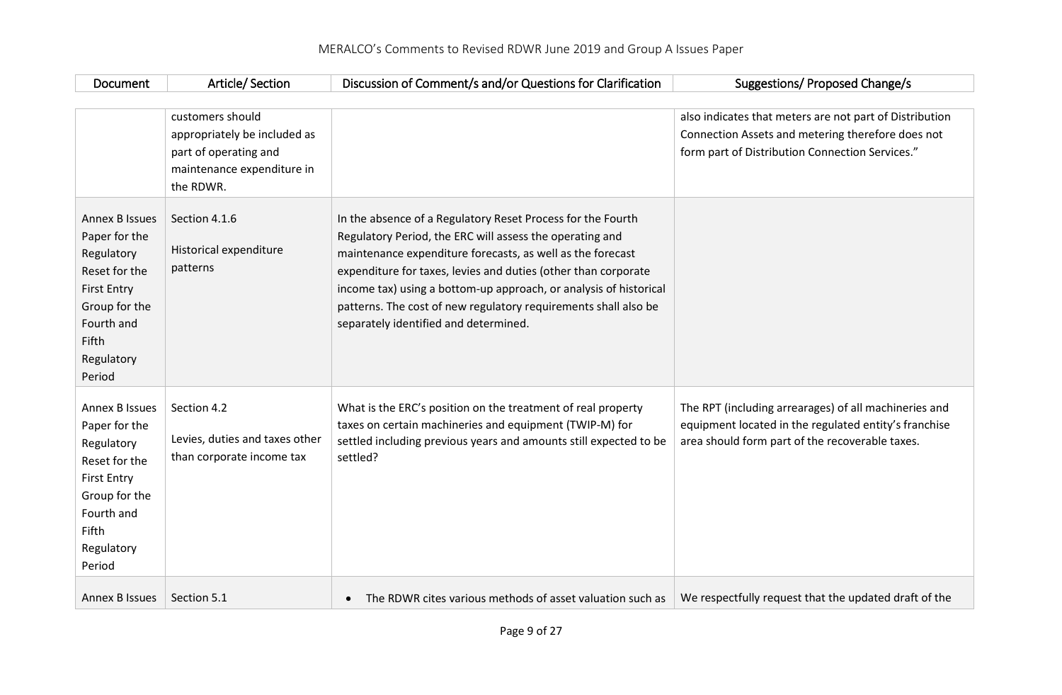| Document                                                                                                                                                           | Article/Section                                                                                                      | Discussion of Comment/s and/or Questions for Clarification                                                                                                                                                                                                                                                                                                                                                                               | Suggestions/ Proposed Change/s                                                                                                                                    |
|--------------------------------------------------------------------------------------------------------------------------------------------------------------------|----------------------------------------------------------------------------------------------------------------------|------------------------------------------------------------------------------------------------------------------------------------------------------------------------------------------------------------------------------------------------------------------------------------------------------------------------------------------------------------------------------------------------------------------------------------------|-------------------------------------------------------------------------------------------------------------------------------------------------------------------|
|                                                                                                                                                                    | customers should<br>appropriately be included as<br>part of operating and<br>maintenance expenditure in<br>the RDWR. |                                                                                                                                                                                                                                                                                                                                                                                                                                          | also indicates that meters are not part of Distribution<br>Connection Assets and metering therefore does not<br>form part of Distribution Connection Services."   |
| <b>Annex B Issues</b><br>Paper for the<br>Regulatory<br>Reset for the<br><b>First Entry</b><br>Group for the<br>Fourth and<br>Fifth<br>Regulatory<br>Period        | Section 4.1.6<br>Historical expenditure<br>patterns                                                                  | In the absence of a Regulatory Reset Process for the Fourth<br>Regulatory Period, the ERC will assess the operating and<br>maintenance expenditure forecasts, as well as the forecast<br>expenditure for taxes, levies and duties (other than corporate<br>income tax) using a bottom-up approach, or analysis of historical<br>patterns. The cost of new regulatory requirements shall also be<br>separately identified and determined. |                                                                                                                                                                   |
| <b>Annex B Issues</b><br>Paper for the<br>Regulatory<br>Reset for the<br><b>First Entry</b><br>Group for the<br>Fourth and<br><b>Fifth</b><br>Regulatory<br>Period | Section 4.2<br>Levies, duties and taxes other<br>than corporate income tax                                           | What is the ERC's position on the treatment of real property<br>taxes on certain machineries and equipment (TWIP-M) for<br>settled including previous years and amounts still expected to be<br>settled?                                                                                                                                                                                                                                 | The RPT (including arrearages) of all machineries and<br>equipment located in the regulated entity's franchise<br>area should form part of the recoverable taxes. |
| <b>Annex B Issues</b>                                                                                                                                              | Section 5.1                                                                                                          | The RDWR cites various methods of asset valuation such as<br>$\bullet$                                                                                                                                                                                                                                                                                                                                                                   | We respectfully request that the updated draft of the                                                                                                             |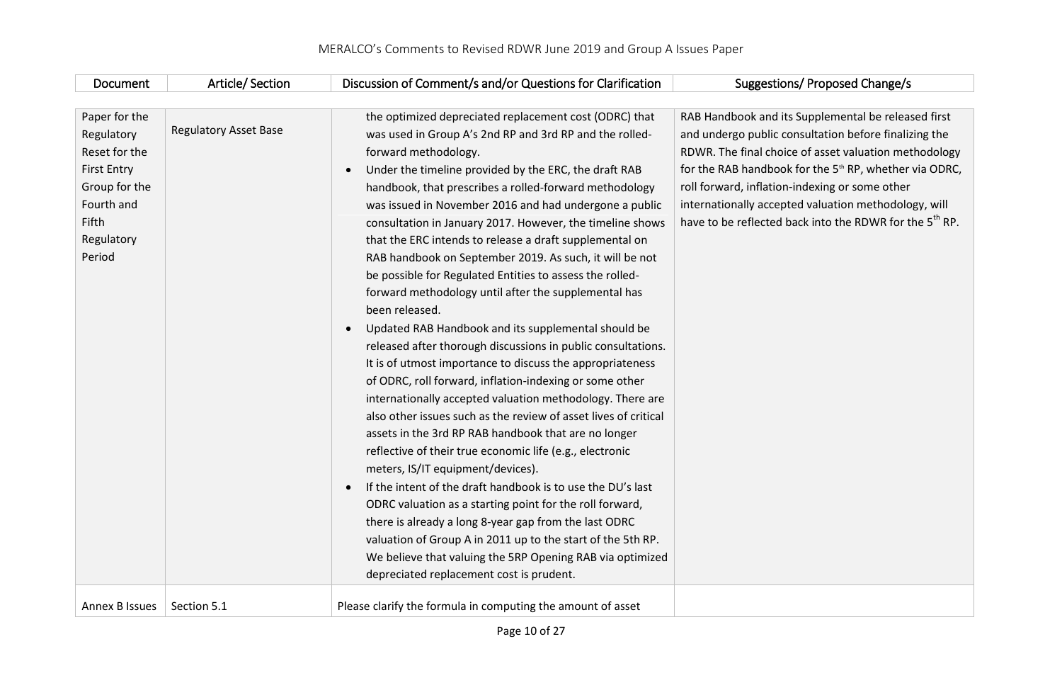| Document           | Article/Section              | Discussion of Comment/s and/or Questions for Clarification      | Suggestions/ Proposed Change/s                                      |
|--------------------|------------------------------|-----------------------------------------------------------------|---------------------------------------------------------------------|
|                    |                              |                                                                 |                                                                     |
| Paper for the      |                              | the optimized depreciated replacement cost (ODRC) that          | RAB Handbook and its Supplemental be released first                 |
| Regulatory         | <b>Regulatory Asset Base</b> | was used in Group A's 2nd RP and 3rd RP and the rolled-         | and undergo public consultation before finalizing the               |
| Reset for the      |                              | forward methodology.                                            | RDWR. The final choice of asset valuation methodology               |
| <b>First Entry</b> |                              | Under the timeline provided by the ERC, the draft RAB           | for the RAB handbook for the 5 <sup>th</sup> RP, whether via ODRC,  |
| Group for the      |                              | handbook, that prescribes a rolled-forward methodology          | roll forward, inflation-indexing or some other                      |
| Fourth and         |                              | was issued in November 2016 and had undergone a public          | internationally accepted valuation methodology, will                |
| Fifth              |                              | consultation in January 2017. However, the timeline shows       | have to be reflected back into the RDWR for the 5 <sup>th</sup> RP. |
| Regulatory         |                              | that the ERC intends to release a draft supplemental on         |                                                                     |
| Period             |                              | RAB handbook on September 2019. As such, it will be not         |                                                                     |
|                    |                              | be possible for Regulated Entities to assess the rolled-        |                                                                     |
|                    |                              | forward methodology until after the supplemental has            |                                                                     |
|                    |                              | been released.                                                  |                                                                     |
|                    |                              | Updated RAB Handbook and its supplemental should be             |                                                                     |
|                    |                              | released after thorough discussions in public consultations.    |                                                                     |
|                    |                              | It is of utmost importance to discuss the appropriateness       |                                                                     |
|                    |                              | of ODRC, roll forward, inflation-indexing or some other         |                                                                     |
|                    |                              | internationally accepted valuation methodology. There are       |                                                                     |
|                    |                              | also other issues such as the review of asset lives of critical |                                                                     |
|                    |                              | assets in the 3rd RP RAB handbook that are no longer            |                                                                     |
|                    |                              | reflective of their true economic life (e.g., electronic        |                                                                     |
|                    |                              | meters, IS/IT equipment/devices).                               |                                                                     |
|                    |                              | If the intent of the draft handbook is to use the DU's last     |                                                                     |
|                    |                              | ODRC valuation as a starting point for the roll forward,        |                                                                     |
|                    |                              | there is already a long 8-year gap from the last ODRC           |                                                                     |
|                    |                              | valuation of Group A in 2011 up to the start of the 5th RP.     |                                                                     |
|                    |                              | We believe that valuing the 5RP Opening RAB via optimized       |                                                                     |
|                    |                              | depreciated replacement cost is prudent.                        |                                                                     |
| Annex B Issues     | Section 5.1                  | Please clarify the formula in computing the amount of asset     |                                                                     |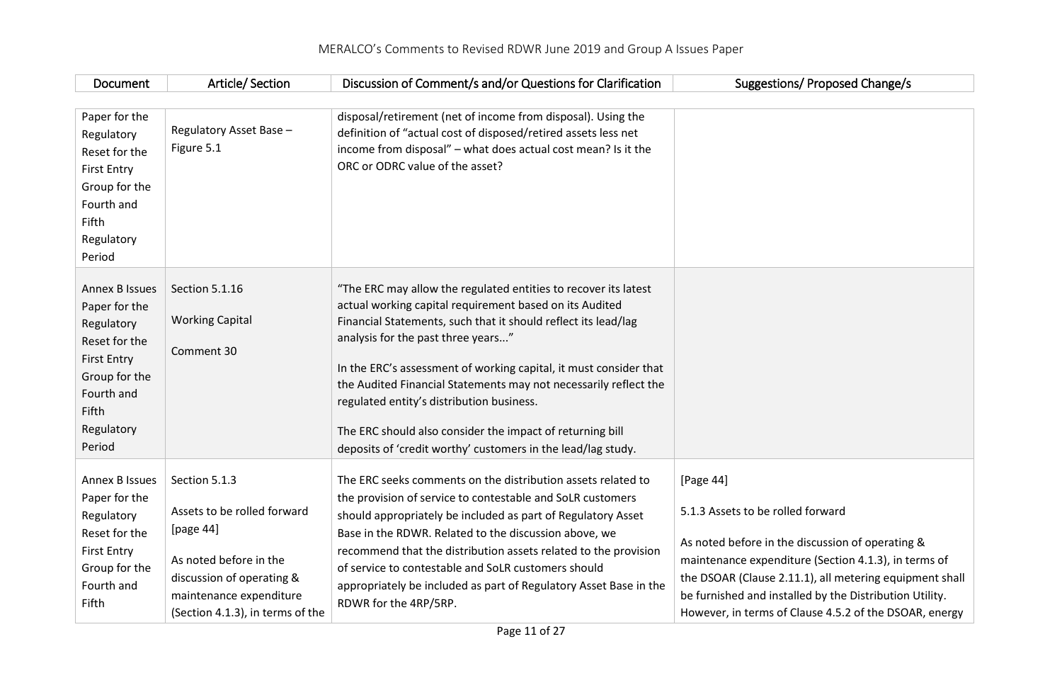| Document                                                                                                                                                    | Article/Section                                                                                                                                                                 | Discussion of Comment/s and/or Questions for Clarification                                                                                                                                                                                                                                                                                                                                                                                                                                                                                            | Suggestions/ Proposed Change/s                                                                                                                                                                                                                                                                                                             |
|-------------------------------------------------------------------------------------------------------------------------------------------------------------|---------------------------------------------------------------------------------------------------------------------------------------------------------------------------------|-------------------------------------------------------------------------------------------------------------------------------------------------------------------------------------------------------------------------------------------------------------------------------------------------------------------------------------------------------------------------------------------------------------------------------------------------------------------------------------------------------------------------------------------------------|--------------------------------------------------------------------------------------------------------------------------------------------------------------------------------------------------------------------------------------------------------------------------------------------------------------------------------------------|
| Paper for the<br>Regulatory<br>Reset for the<br><b>First Entry</b><br>Group for the<br>Fourth and<br>Fifth<br>Regulatory<br>Period                          | Regulatory Asset Base -<br>Figure 5.1                                                                                                                                           | disposal/retirement (net of income from disposal). Using the<br>definition of "actual cost of disposed/retired assets less net<br>income from disposal" - what does actual cost mean? Is it the<br>ORC or ODRC value of the asset?                                                                                                                                                                                                                                                                                                                    |                                                                                                                                                                                                                                                                                                                                            |
| <b>Annex B Issues</b><br>Paper for the<br>Regulatory<br>Reset for the<br><b>First Entry</b><br>Group for the<br>Fourth and<br>Fifth<br>Regulatory<br>Period | Section 5.1.16<br><b>Working Capital</b><br>Comment 30                                                                                                                          | "The ERC may allow the regulated entities to recover its latest<br>actual working capital requirement based on its Audited<br>Financial Statements, such that it should reflect its lead/lag<br>analysis for the past three years"<br>In the ERC's assessment of working capital, it must consider that<br>the Audited Financial Statements may not necessarily reflect the<br>regulated entity's distribution business.<br>The ERC should also consider the impact of returning bill<br>deposits of 'credit worthy' customers in the lead/lag study. |                                                                                                                                                                                                                                                                                                                                            |
| Annex B Issues<br>Paper for the<br>Regulatory<br>Reset for the<br><b>First Entry</b><br>Group for the<br>Fourth and<br>Fifth                                | Section 5.1.3<br>Assets to be rolled forward<br>[page 44]<br>As noted before in the<br>discussion of operating &<br>maintenance expenditure<br>(Section 4.1.3), in terms of the | The ERC seeks comments on the distribution assets related to<br>the provision of service to contestable and SoLR customers<br>should appropriately be included as part of Regulatory Asset<br>Base in the RDWR. Related to the discussion above, we<br>recommend that the distribution assets related to the provision<br>of service to contestable and SoLR customers should<br>appropriately be included as part of Regulatory Asset Base in the<br>RDWR for the 4RP/5RP.                                                                           | [Page 44]<br>5.1.3 Assets to be rolled forward<br>As noted before in the discussion of operating &<br>maintenance expenditure (Section 4.1.3), in terms of<br>the DSOAR (Clause 2.11.1), all metering equipment shall<br>be furnished and installed by the Distribution Utility.<br>However, in terms of Clause 4.5.2 of the DSOAR, energy |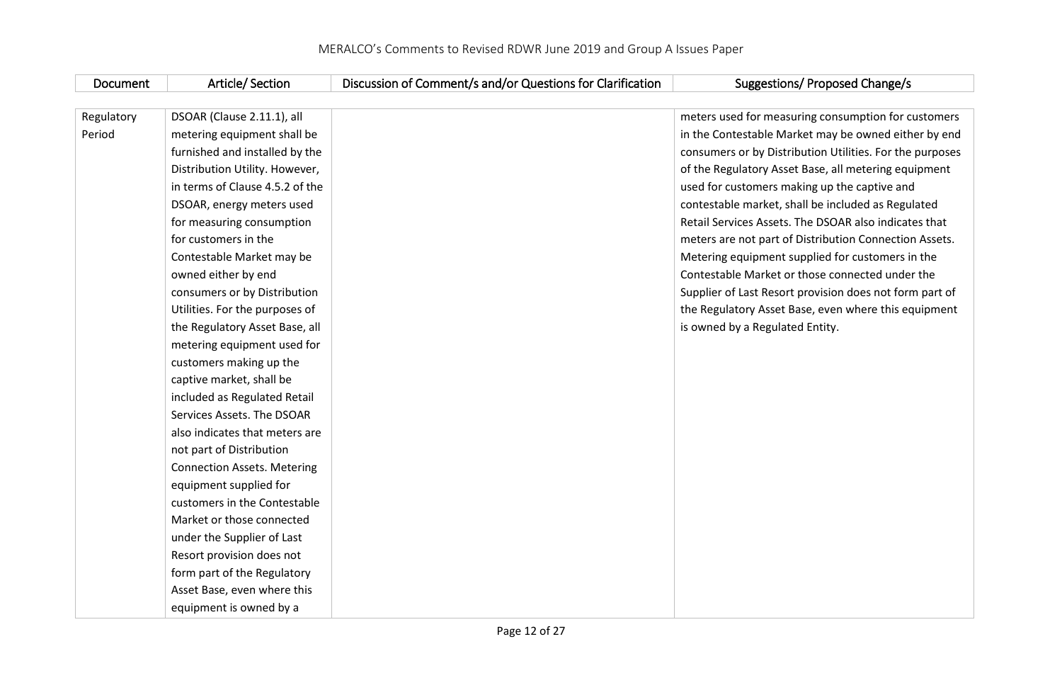| Document   | Article/Section                    | Discussion of Comment/s and/or Questions for Clarification | <b>Suggestions/ Proposed Change/s</b>                    |
|------------|------------------------------------|------------------------------------------------------------|----------------------------------------------------------|
|            |                                    |                                                            |                                                          |
| Regulatory | DSOAR (Clause 2.11.1), all         |                                                            | meters used for measuring consumption for customers      |
| Period     | metering equipment shall be        |                                                            | in the Contestable Market may be owned either by end     |
|            | furnished and installed by the     |                                                            | consumers or by Distribution Utilities. For the purposes |
|            | Distribution Utility. However,     |                                                            | of the Regulatory Asset Base, all metering equipment     |
|            | in terms of Clause 4.5.2 of the    |                                                            | used for customers making up the captive and             |
|            | DSOAR, energy meters used          |                                                            | contestable market, shall be included as Regulated       |
|            | for measuring consumption          |                                                            | Retail Services Assets. The DSOAR also indicates that    |
|            | for customers in the               |                                                            | meters are not part of Distribution Connection Assets.   |
|            | Contestable Market may be          |                                                            | Metering equipment supplied for customers in the         |
|            | owned either by end                |                                                            | Contestable Market or those connected under the          |
|            | consumers or by Distribution       |                                                            | Supplier of Last Resort provision does not form part of  |
|            | Utilities. For the purposes of     |                                                            | the Regulatory Asset Base, even where this equipment     |
|            | the Regulatory Asset Base, all     |                                                            | is owned by a Regulated Entity.                          |
|            | metering equipment used for        |                                                            |                                                          |
|            | customers making up the            |                                                            |                                                          |
|            | captive market, shall be           |                                                            |                                                          |
|            | included as Regulated Retail       |                                                            |                                                          |
|            | Services Assets. The DSOAR         |                                                            |                                                          |
|            | also indicates that meters are     |                                                            |                                                          |
|            | not part of Distribution           |                                                            |                                                          |
|            | <b>Connection Assets. Metering</b> |                                                            |                                                          |
|            | equipment supplied for             |                                                            |                                                          |
|            | customers in the Contestable       |                                                            |                                                          |
|            | Market or those connected          |                                                            |                                                          |
|            | under the Supplier of Last         |                                                            |                                                          |
|            | Resort provision does not          |                                                            |                                                          |
|            | form part of the Regulatory        |                                                            |                                                          |
|            | Asset Base, even where this        |                                                            |                                                          |
|            | equipment is owned by a            |                                                            |                                                          |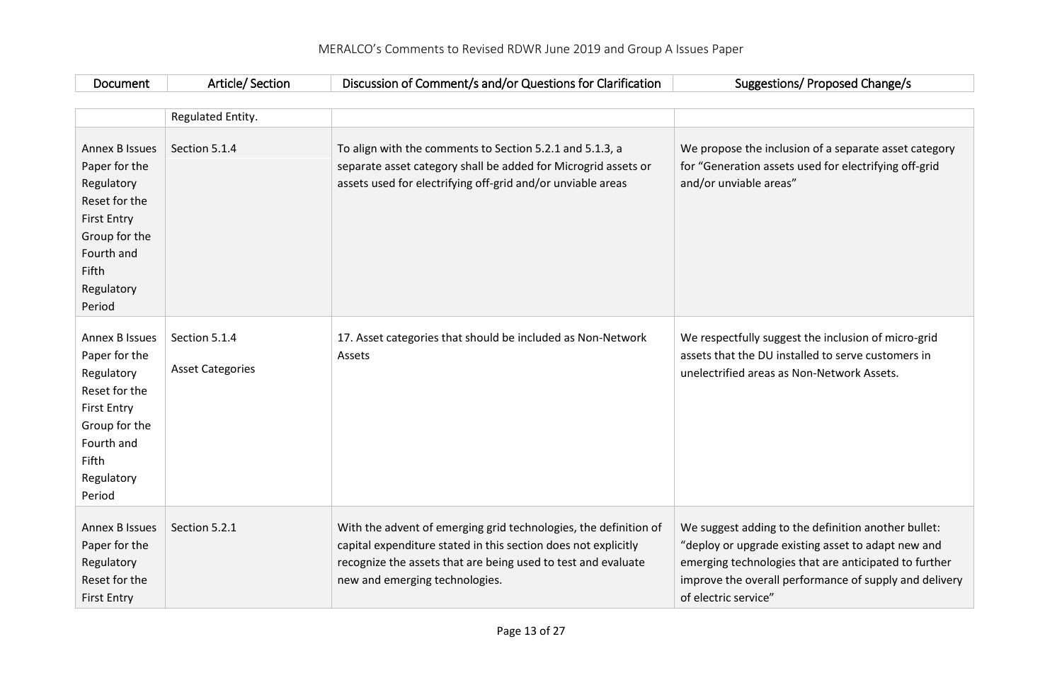| Document                                                                                                                                                    | Article/Section                          | Discussion of Comment/s and/or Questions for Clarification                                                                                                                                                                            | Suggestions/ Proposed Change/s                                                                                                                                                                                                                       |
|-------------------------------------------------------------------------------------------------------------------------------------------------------------|------------------------------------------|---------------------------------------------------------------------------------------------------------------------------------------------------------------------------------------------------------------------------------------|------------------------------------------------------------------------------------------------------------------------------------------------------------------------------------------------------------------------------------------------------|
|                                                                                                                                                             |                                          |                                                                                                                                                                                                                                       |                                                                                                                                                                                                                                                      |
|                                                                                                                                                             | Regulated Entity.                        |                                                                                                                                                                                                                                       |                                                                                                                                                                                                                                                      |
| <b>Annex B Issues</b><br>Paper for the<br>Regulatory<br>Reset for the<br><b>First Entry</b><br>Group for the<br>Fourth and<br>Fifth<br>Regulatory<br>Period | Section 5.1.4                            | To align with the comments to Section 5.2.1 and 5.1.3, a<br>separate asset category shall be added for Microgrid assets or<br>assets used for electrifying off-grid and/or unviable areas                                             | We propose the inclusion of a separate asset category<br>for "Generation assets used for electrifying off-grid<br>and/or unviable areas"                                                                                                             |
| <b>Annex B Issues</b><br>Paper for the<br>Regulatory<br>Reset for the<br><b>First Entry</b><br>Group for the<br>Fourth and<br>Fifth<br>Regulatory<br>Period | Section 5.1.4<br><b>Asset Categories</b> | 17. Asset categories that should be included as Non-Network<br>Assets                                                                                                                                                                 | We respectfully suggest the inclusion of micro-grid<br>assets that the DU installed to serve customers in<br>unelectrified areas as Non-Network Assets.                                                                                              |
| <b>Annex B Issues</b><br>Paper for the<br>Regulatory<br>Reset for the<br><b>First Entry</b>                                                                 | Section 5.2.1                            | With the advent of emerging grid technologies, the definition of<br>capital expenditure stated in this section does not explicitly<br>recognize the assets that are being used to test and evaluate<br>new and emerging technologies. | We suggest adding to the definition another bullet:<br>"deploy or upgrade existing asset to adapt new and<br>emerging technologies that are anticipated to further<br>improve the overall performance of supply and delivery<br>of electric service" |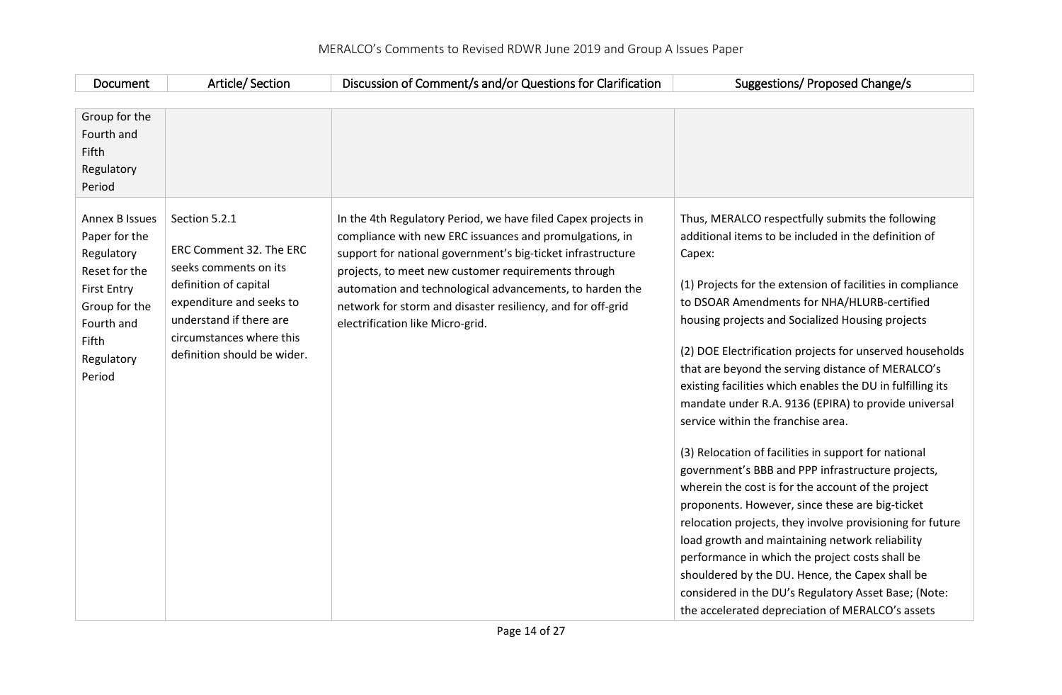| Document                                                                                                                                                    | Article/Section                                                                                                                                                                                              | Discussion of Comment/s and/or Questions for Clarification                                                                                                                                                                                                                                                                                                                                                    | Suggestions/ Proposed Change/s                                                                                                                                                                                                                                                                                                                                                                                                                                                                                                                                                                                                                                                                                                                                                                                                                                                                                                                                                                                                                                                                                           |
|-------------------------------------------------------------------------------------------------------------------------------------------------------------|--------------------------------------------------------------------------------------------------------------------------------------------------------------------------------------------------------------|---------------------------------------------------------------------------------------------------------------------------------------------------------------------------------------------------------------------------------------------------------------------------------------------------------------------------------------------------------------------------------------------------------------|--------------------------------------------------------------------------------------------------------------------------------------------------------------------------------------------------------------------------------------------------------------------------------------------------------------------------------------------------------------------------------------------------------------------------------------------------------------------------------------------------------------------------------------------------------------------------------------------------------------------------------------------------------------------------------------------------------------------------------------------------------------------------------------------------------------------------------------------------------------------------------------------------------------------------------------------------------------------------------------------------------------------------------------------------------------------------------------------------------------------------|
| Group for the                                                                                                                                               |                                                                                                                                                                                                              |                                                                                                                                                                                                                                                                                                                                                                                                               |                                                                                                                                                                                                                                                                                                                                                                                                                                                                                                                                                                                                                                                                                                                                                                                                                                                                                                                                                                                                                                                                                                                          |
| Fourth and<br>Fifth                                                                                                                                         |                                                                                                                                                                                                              |                                                                                                                                                                                                                                                                                                                                                                                                               |                                                                                                                                                                                                                                                                                                                                                                                                                                                                                                                                                                                                                                                                                                                                                                                                                                                                                                                                                                                                                                                                                                                          |
| Regulatory                                                                                                                                                  |                                                                                                                                                                                                              |                                                                                                                                                                                                                                                                                                                                                                                                               |                                                                                                                                                                                                                                                                                                                                                                                                                                                                                                                                                                                                                                                                                                                                                                                                                                                                                                                                                                                                                                                                                                                          |
| Period                                                                                                                                                      |                                                                                                                                                                                                              |                                                                                                                                                                                                                                                                                                                                                                                                               |                                                                                                                                                                                                                                                                                                                                                                                                                                                                                                                                                                                                                                                                                                                                                                                                                                                                                                                                                                                                                                                                                                                          |
| <b>Annex B Issues</b><br>Paper for the<br>Regulatory<br>Reset for the<br><b>First Entry</b><br>Group for the<br>Fourth and<br>Fifth<br>Regulatory<br>Period | Section 5.2.1<br>ERC Comment 32. The ERC<br>seeks comments on its<br>definition of capital<br>expenditure and seeks to<br>understand if there are<br>circumstances where this<br>definition should be wider. | In the 4th Regulatory Period, we have filed Capex projects in<br>compliance with new ERC issuances and promulgations, in<br>support for national government's big-ticket infrastructure<br>projects, to meet new customer requirements through<br>automation and technological advancements, to harden the<br>network for storm and disaster resiliency, and for off-grid<br>electrification like Micro-grid. | Thus, MERALCO respectfully submits the following<br>additional items to be included in the definition of<br>Capex:<br>(1) Projects for the extension of facilities in compliance<br>to DSOAR Amendments for NHA/HLURB-certified<br>housing projects and Socialized Housing projects<br>(2) DOE Electrification projects for unserved households<br>that are beyond the serving distance of MERALCO's<br>existing facilities which enables the DU in fulfilling its<br>mandate under R.A. 9136 (EPIRA) to provide universal<br>service within the franchise area.<br>(3) Relocation of facilities in support for national<br>government's BBB and PPP infrastructure projects,<br>wherein the cost is for the account of the project<br>proponents. However, since these are big-ticket<br>relocation projects, they involve provisioning for future<br>load growth and maintaining network reliability<br>performance in which the project costs shall be<br>shouldered by the DU. Hence, the Capex shall be<br>considered in the DU's Regulatory Asset Base; (Note:<br>the accelerated depreciation of MERALCO's assets |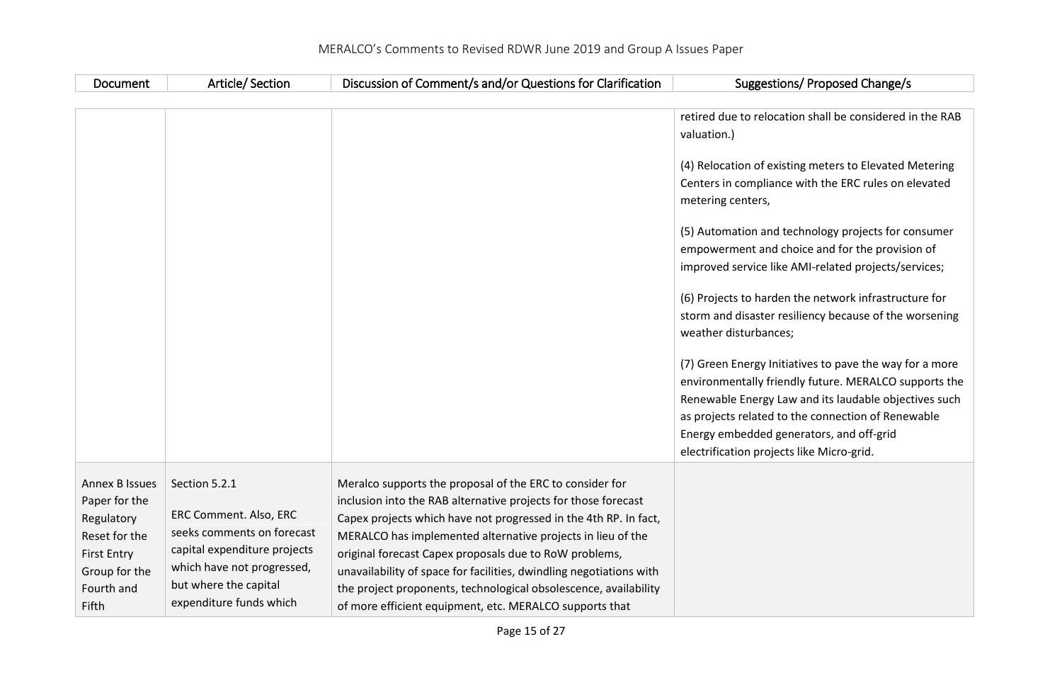| Document                                                                                                                            | Article/Section                                                                                                                                                                         | Discussion of Comment/s and/or Questions for Clarification                                                                                                                                                                                                                                                                                                                                                                                                                                                                    | Suggestions/ Proposed Change/s                                                                                                                                                                                                                                                                                                                                                                                                                                                                                                                                                          |
|-------------------------------------------------------------------------------------------------------------------------------------|-----------------------------------------------------------------------------------------------------------------------------------------------------------------------------------------|-------------------------------------------------------------------------------------------------------------------------------------------------------------------------------------------------------------------------------------------------------------------------------------------------------------------------------------------------------------------------------------------------------------------------------------------------------------------------------------------------------------------------------|-----------------------------------------------------------------------------------------------------------------------------------------------------------------------------------------------------------------------------------------------------------------------------------------------------------------------------------------------------------------------------------------------------------------------------------------------------------------------------------------------------------------------------------------------------------------------------------------|
|                                                                                                                                     |                                                                                                                                                                                         |                                                                                                                                                                                                                                                                                                                                                                                                                                                                                                                               |                                                                                                                                                                                                                                                                                                                                                                                                                                                                                                                                                                                         |
|                                                                                                                                     |                                                                                                                                                                                         |                                                                                                                                                                                                                                                                                                                                                                                                                                                                                                                               | retired due to relocation shall be considered in the RAB<br>valuation.)<br>(4) Relocation of existing meters to Elevated Metering<br>Centers in compliance with the ERC rules on elevated<br>metering centers,<br>(5) Automation and technology projects for consumer<br>empowerment and choice and for the provision of<br>improved service like AMI-related projects/services;<br>(6) Projects to harden the network infrastructure for<br>storm and disaster resiliency because of the worsening<br>weather disturbances;<br>(7) Green Energy Initiatives to pave the way for a more |
|                                                                                                                                     |                                                                                                                                                                                         |                                                                                                                                                                                                                                                                                                                                                                                                                                                                                                                               | environmentally friendly future. MERALCO supports the<br>Renewable Energy Law and its laudable objectives such<br>as projects related to the connection of Renewable<br>Energy embedded generators, and off-grid<br>electrification projects like Micro-grid.                                                                                                                                                                                                                                                                                                                           |
| <b>Annex B Issues</b><br>Paper for the<br>Regulatory<br>Reset for the<br><b>First Entry</b><br>Group for the<br>Fourth and<br>Fifth | Section 5.2.1<br>ERC Comment. Also, ERC<br>seeks comments on forecast<br>capital expenditure projects<br>which have not progressed,<br>but where the capital<br>expenditure funds which | Meralco supports the proposal of the ERC to consider for<br>inclusion into the RAB alternative projects for those forecast<br>Capex projects which have not progressed in the 4th RP. In fact,<br>MERALCO has implemented alternative projects in lieu of the<br>original forecast Capex proposals due to RoW problems,<br>unavailability of space for facilities, dwindling negotiations with<br>the project proponents, technological obsolescence, availability<br>of more efficient equipment, etc. MERALCO supports that |                                                                                                                                                                                                                                                                                                                                                                                                                                                                                                                                                                                         |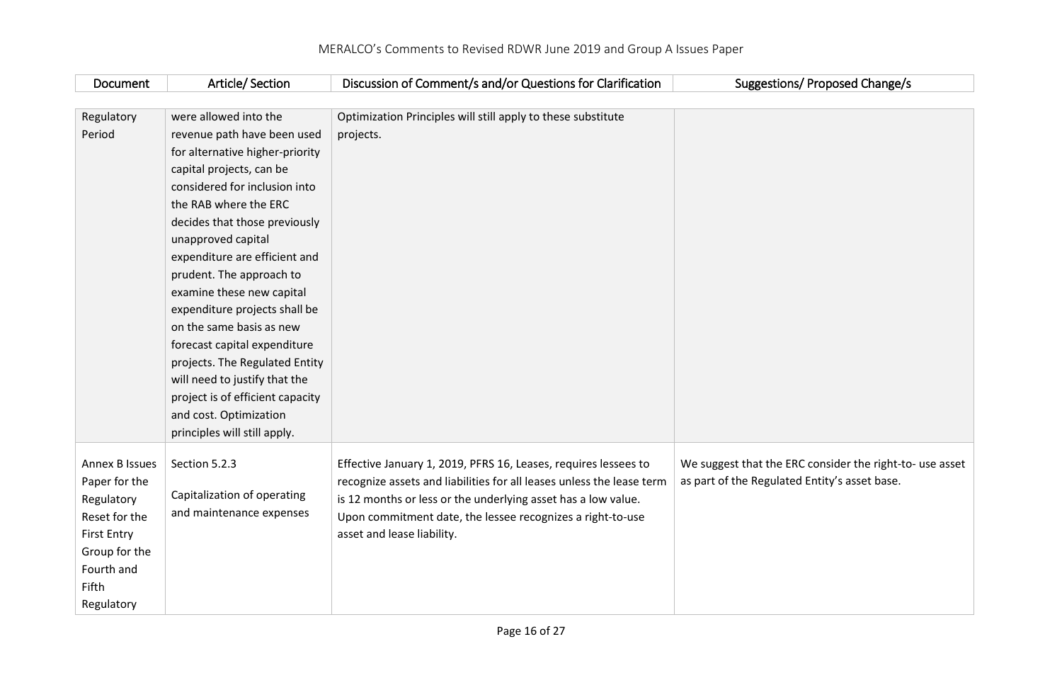| Document           | Article/Section                  | Discussion of Comment/s and/or Questions for Clarification            | Suggestions/ Proposed Change/s                                                                            |
|--------------------|----------------------------------|-----------------------------------------------------------------------|-----------------------------------------------------------------------------------------------------------|
|                    |                                  |                                                                       |                                                                                                           |
| Regulatory         | were allowed into the            | Optimization Principles will still apply to these substitute          |                                                                                                           |
| Period             | revenue path have been used      | projects.                                                             |                                                                                                           |
|                    | for alternative higher-priority  |                                                                       |                                                                                                           |
|                    | capital projects, can be         |                                                                       |                                                                                                           |
|                    | considered for inclusion into    |                                                                       |                                                                                                           |
|                    | the RAB where the ERC            |                                                                       |                                                                                                           |
|                    | decides that those previously    |                                                                       |                                                                                                           |
|                    | unapproved capital               |                                                                       |                                                                                                           |
|                    | expenditure are efficient and    |                                                                       |                                                                                                           |
|                    | prudent. The approach to         |                                                                       |                                                                                                           |
|                    | examine these new capital        |                                                                       |                                                                                                           |
|                    | expenditure projects shall be    |                                                                       |                                                                                                           |
|                    | on the same basis as new         |                                                                       |                                                                                                           |
|                    | forecast capital expenditure     |                                                                       |                                                                                                           |
|                    | projects. The Regulated Entity   |                                                                       |                                                                                                           |
|                    | will need to justify that the    |                                                                       |                                                                                                           |
|                    | project is of efficient capacity |                                                                       |                                                                                                           |
|                    | and cost. Optimization           |                                                                       |                                                                                                           |
|                    | principles will still apply.     |                                                                       |                                                                                                           |
|                    |                                  |                                                                       |                                                                                                           |
| Annex B Issues     | Section 5.2.3                    | Effective January 1, 2019, PFRS 16, Leases, requires lessees to       | We suggest that the ERC consider the right-to- use asset<br>as part of the Regulated Entity's asset base. |
| Paper for the      | Capitalization of operating      | recognize assets and liabilities for all leases unless the lease term |                                                                                                           |
| Regulatory         | and maintenance expenses         | is 12 months or less or the underlying asset has a low value.         |                                                                                                           |
| Reset for the      |                                  | Upon commitment date, the lessee recognizes a right-to-use            |                                                                                                           |
| <b>First Entry</b> |                                  | asset and lease liability.                                            |                                                                                                           |
| Group for the      |                                  |                                                                       |                                                                                                           |
| Fourth and         |                                  |                                                                       |                                                                                                           |
| Fifth              |                                  |                                                                       |                                                                                                           |
| Regulatory         |                                  |                                                                       |                                                                                                           |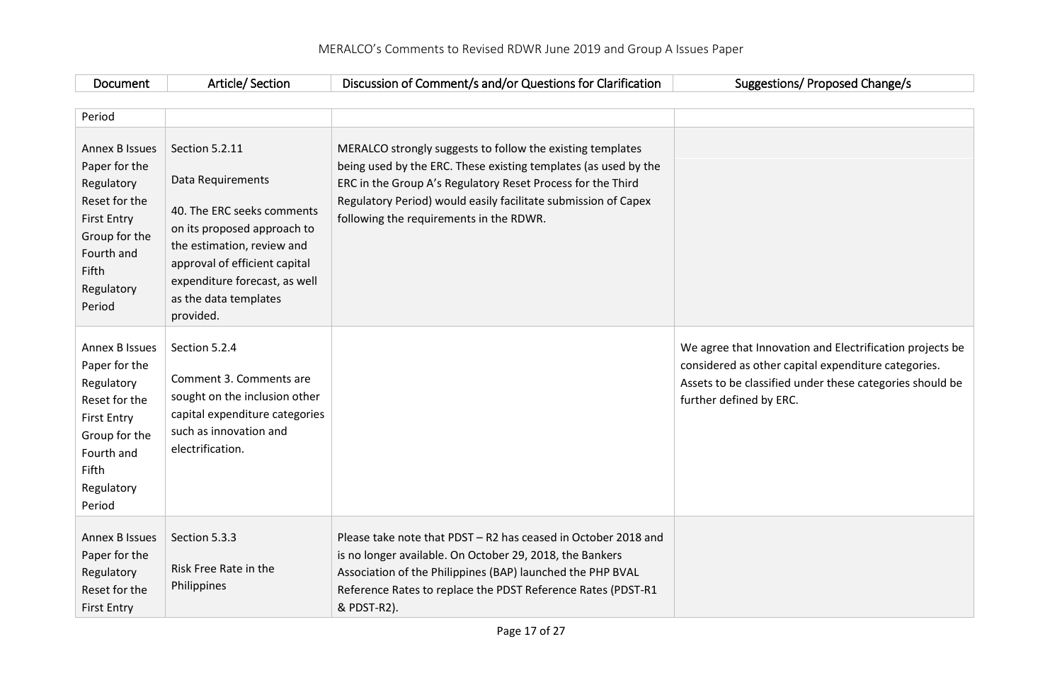| Document                                                                                                                                                    | Article/Section                                                                                                                                                                                                                        | Discussion of Comment/s and/or Questions for Clarification                                                                                                                                                                                                                                                | Suggestions/ Proposed Change/s                                                                                                                                                                         |  |
|-------------------------------------------------------------------------------------------------------------------------------------------------------------|----------------------------------------------------------------------------------------------------------------------------------------------------------------------------------------------------------------------------------------|-----------------------------------------------------------------------------------------------------------------------------------------------------------------------------------------------------------------------------------------------------------------------------------------------------------|--------------------------------------------------------------------------------------------------------------------------------------------------------------------------------------------------------|--|
|                                                                                                                                                             |                                                                                                                                                                                                                                        |                                                                                                                                                                                                                                                                                                           |                                                                                                                                                                                                        |  |
| Period                                                                                                                                                      |                                                                                                                                                                                                                                        |                                                                                                                                                                                                                                                                                                           |                                                                                                                                                                                                        |  |
| <b>Annex B Issues</b><br>Paper for the<br>Regulatory<br>Reset for the<br><b>First Entry</b><br>Group for the<br>Fourth and<br>Fifth<br>Regulatory<br>Period | Section 5.2.11<br>Data Requirements<br>40. The ERC seeks comments<br>on its proposed approach to<br>the estimation, review and<br>approval of efficient capital<br>expenditure forecast, as well<br>as the data templates<br>provided. | MERALCO strongly suggests to follow the existing templates<br>being used by the ERC. These existing templates (as used by the<br>ERC in the Group A's Regulatory Reset Process for the Third<br>Regulatory Period) would easily facilitate submission of Capex<br>following the requirements in the RDWR. |                                                                                                                                                                                                        |  |
| Annex B Issues<br>Paper for the<br>Regulatory<br>Reset for the<br><b>First Entry</b><br>Group for the<br>Fourth and<br>Fifth<br>Regulatory<br>Period        | Section 5.2.4<br>Comment 3. Comments are<br>sought on the inclusion other<br>capital expenditure categories<br>such as innovation and<br>electrification.                                                                              |                                                                                                                                                                                                                                                                                                           | We agree that Innovation and Electrification projects be<br>considered as other capital expenditure categories.<br>Assets to be classified under these categories should be<br>further defined by ERC. |  |
| <b>Annex B Issues</b><br>Paper for the<br>Regulatory<br>Reset for the<br><b>First Entry</b>                                                                 | Section 5.3.3<br>Risk Free Rate in the<br>Philippines                                                                                                                                                                                  | Please take note that PDST - R2 has ceased in October 2018 and<br>is no longer available. On October 29, 2018, the Bankers<br>Association of the Philippines (BAP) launched the PHP BVAL<br>Reference Rates to replace the PDST Reference Rates (PDST-R1<br>& PDST-R2).                                   |                                                                                                                                                                                                        |  |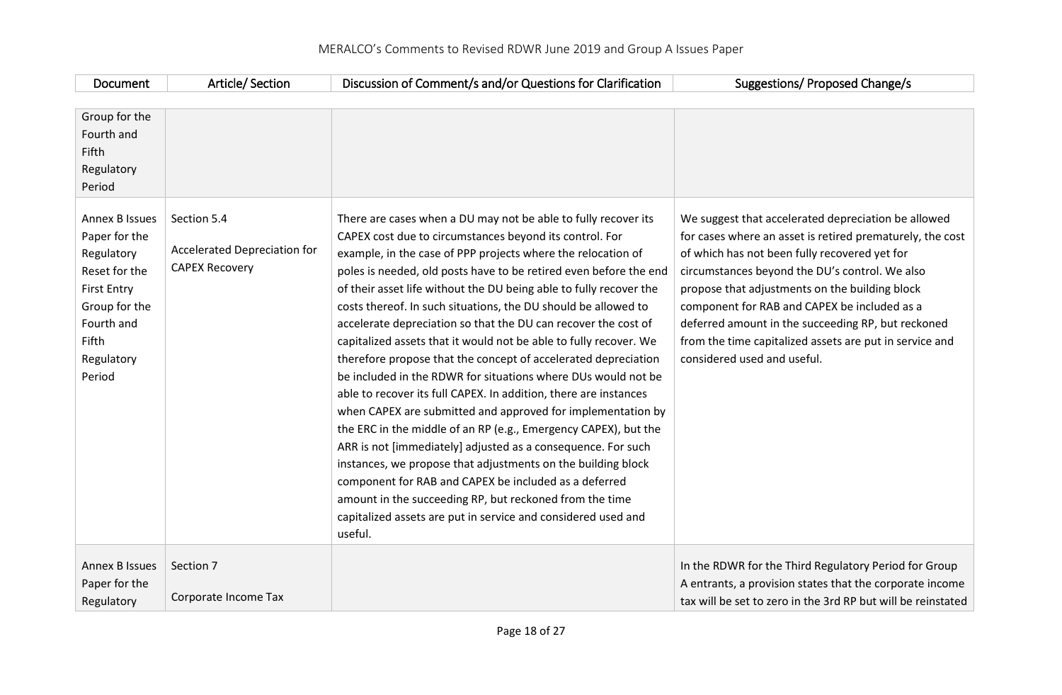| Document                                                                                                                                                    | Article/Section                                                      | Discussion of Comment/s and/or Questions for Clarification                                                                                                                                                                                                                                                                                                                                                                                                                                                                                                                                                                                                                                                                                                                                                                                                                                                                                                                                                                                                                                                                                                                                                             | Suggestions/ Proposed Change/s                                                                                                                                                                                                                                                                                                                                                                                                                                        |
|-------------------------------------------------------------------------------------------------------------------------------------------------------------|----------------------------------------------------------------------|------------------------------------------------------------------------------------------------------------------------------------------------------------------------------------------------------------------------------------------------------------------------------------------------------------------------------------------------------------------------------------------------------------------------------------------------------------------------------------------------------------------------------------------------------------------------------------------------------------------------------------------------------------------------------------------------------------------------------------------------------------------------------------------------------------------------------------------------------------------------------------------------------------------------------------------------------------------------------------------------------------------------------------------------------------------------------------------------------------------------------------------------------------------------------------------------------------------------|-----------------------------------------------------------------------------------------------------------------------------------------------------------------------------------------------------------------------------------------------------------------------------------------------------------------------------------------------------------------------------------------------------------------------------------------------------------------------|
|                                                                                                                                                             |                                                                      |                                                                                                                                                                                                                                                                                                                                                                                                                                                                                                                                                                                                                                                                                                                                                                                                                                                                                                                                                                                                                                                                                                                                                                                                                        |                                                                                                                                                                                                                                                                                                                                                                                                                                                                       |
| Group for the<br>Fourth and<br>Fifth<br>Regulatory<br>Period                                                                                                |                                                                      |                                                                                                                                                                                                                                                                                                                                                                                                                                                                                                                                                                                                                                                                                                                                                                                                                                                                                                                                                                                                                                                                                                                                                                                                                        |                                                                                                                                                                                                                                                                                                                                                                                                                                                                       |
| <b>Annex B Issues</b><br>Paper for the<br>Regulatory<br>Reset for the<br><b>First Entry</b><br>Group for the<br>Fourth and<br>Fifth<br>Regulatory<br>Period | Section 5.4<br>Accelerated Depreciation for<br><b>CAPEX Recovery</b> | There are cases when a DU may not be able to fully recover its<br>CAPEX cost due to circumstances beyond its control. For<br>example, in the case of PPP projects where the relocation of<br>poles is needed, old posts have to be retired even before the end<br>of their asset life without the DU being able to fully recover the<br>costs thereof. In such situations, the DU should be allowed to<br>accelerate depreciation so that the DU can recover the cost of<br>capitalized assets that it would not be able to fully recover. We<br>therefore propose that the concept of accelerated depreciation<br>be included in the RDWR for situations where DUs would not be<br>able to recover its full CAPEX. In addition, there are instances<br>when CAPEX are submitted and approved for implementation by<br>the ERC in the middle of an RP (e.g., Emergency CAPEX), but the<br>ARR is not [immediately] adjusted as a consequence. For such<br>instances, we propose that adjustments on the building block<br>component for RAB and CAPEX be included as a deferred<br>amount in the succeeding RP, but reckoned from the time<br>capitalized assets are put in service and considered used and<br>useful. | We suggest that accelerated depreciation be allowed<br>for cases where an asset is retired prematurely, the cost<br>of which has not been fully recovered yet for<br>circumstances beyond the DU's control. We also<br>propose that adjustments on the building block<br>component for RAB and CAPEX be included as a<br>deferred amount in the succeeding RP, but reckoned<br>from the time capitalized assets are put in service and<br>considered used and useful. |
| <b>Annex B Issues</b><br>Paper for the<br>Regulatory                                                                                                        | Section 7<br>Corporate Income Tax                                    |                                                                                                                                                                                                                                                                                                                                                                                                                                                                                                                                                                                                                                                                                                                                                                                                                                                                                                                                                                                                                                                                                                                                                                                                                        | In the RDWR for the Third Regulatory Period for Group<br>A entrants, a provision states that the corporate income<br>tax will be set to zero in the 3rd RP but will be reinstated                                                                                                                                                                                                                                                                                     |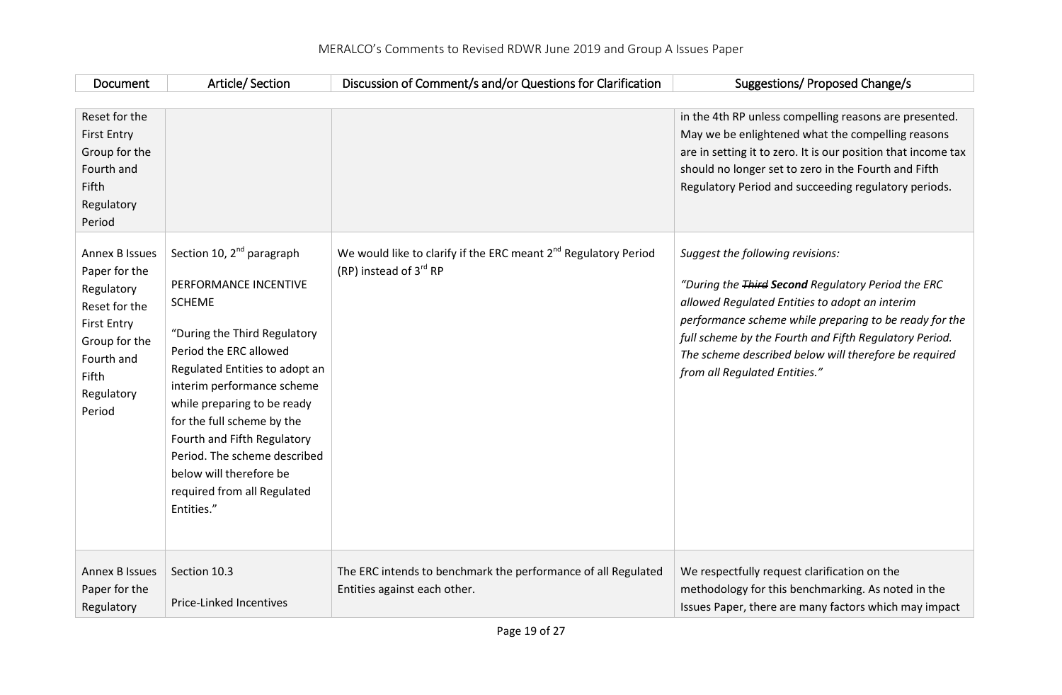| Document                                                                                                                                                    | Article/Section                                                                                                                                                                                                                                                                                                                                                                                               | Discussion of Comment/s and/or Questions for Clarification                                            | Suggestions/ Proposed Change/s                                                                                                                                                                                                                                                                                                                         |
|-------------------------------------------------------------------------------------------------------------------------------------------------------------|---------------------------------------------------------------------------------------------------------------------------------------------------------------------------------------------------------------------------------------------------------------------------------------------------------------------------------------------------------------------------------------------------------------|-------------------------------------------------------------------------------------------------------|--------------------------------------------------------------------------------------------------------------------------------------------------------------------------------------------------------------------------------------------------------------------------------------------------------------------------------------------------------|
| Reset for the<br><b>First Entry</b><br>Group for the<br>Fourth and<br>Fifth<br>Regulatory<br>Period                                                         |                                                                                                                                                                                                                                                                                                                                                                                                               |                                                                                                       | in the 4th RP unless compelling reasons are presented.<br>May we be enlightened what the compelling reasons<br>are in setting it to zero. It is our position that income tax<br>should no longer set to zero in the Fourth and Fifth<br>Regulatory Period and succeeding regulatory periods.                                                           |
| <b>Annex B Issues</b><br>Paper for the<br>Regulatory<br>Reset for the<br><b>First Entry</b><br>Group for the<br>Fourth and<br>Fifth<br>Regulatory<br>Period | Section 10, 2 <sup>nd</sup> paragraph<br>PERFORMANCE INCENTIVE<br><b>SCHEME</b><br>"During the Third Regulatory<br>Period the ERC allowed<br>Regulated Entities to adopt an<br>interim performance scheme<br>while preparing to be ready<br>for the full scheme by the<br>Fourth and Fifth Regulatory<br>Period. The scheme described<br>below will therefore be<br>required from all Regulated<br>Entities." | We would like to clarify if the ERC meant 2 <sup>nd</sup> Regulatory Period<br>(RP) instead of 3rd RP | Suggest the following revisions:<br>"During the Third Second Regulatory Period the ERC<br>allowed Regulated Entities to adopt an interim<br>performance scheme while preparing to be ready for the<br>full scheme by the Fourth and Fifth Regulatory Period.<br>The scheme described below will therefore be required<br>from all Regulated Entities." |
| <b>Annex B Issues</b><br>Paper for the<br>Regulatory                                                                                                        | Section 10.3<br>Price-Linked Incentives                                                                                                                                                                                                                                                                                                                                                                       | The ERC intends to benchmark the performance of all Regulated<br>Entities against each other.         | We respectfully request clarification on the<br>methodology for this benchmarking. As noted in the<br>Issues Paper, there are many factors which may impact                                                                                                                                                                                            |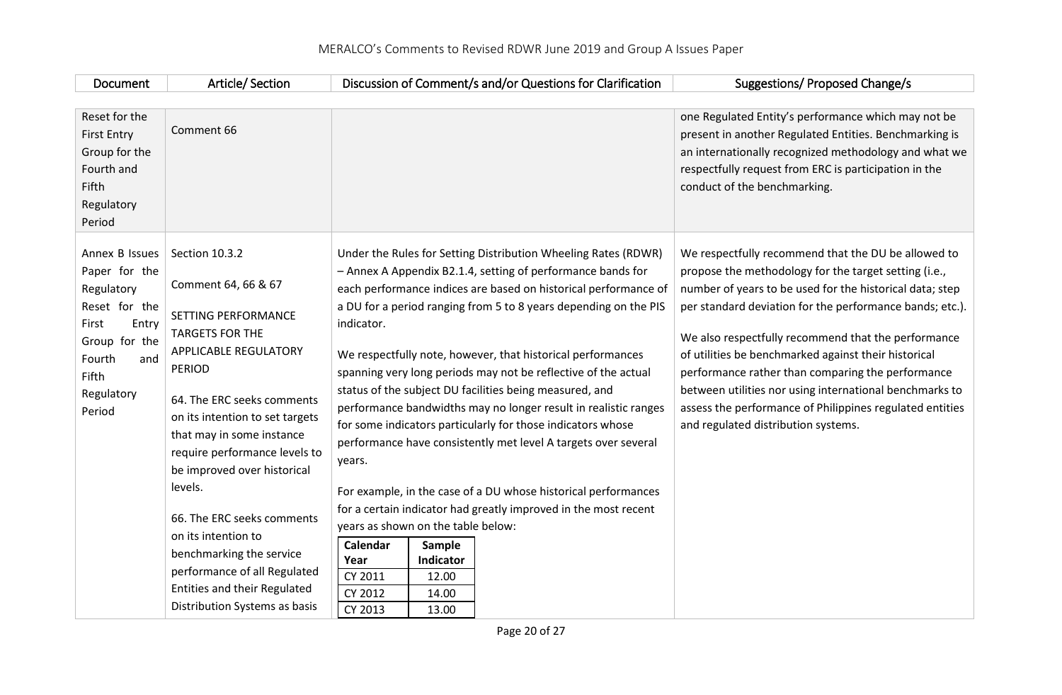| Document                                                                                           | Article/Section                                                                                                                                                                                                                                                                                |                                                                                                                                                                                                               | Discussion of Comment/s and/or Questions for Clarification                                                                                                                                                                                                                                                                                | Suggestions/ Proposed Change/s                                                                                                                                                                                                                                                                                                                                                             |
|----------------------------------------------------------------------------------------------------|------------------------------------------------------------------------------------------------------------------------------------------------------------------------------------------------------------------------------------------------------------------------------------------------|---------------------------------------------------------------------------------------------------------------------------------------------------------------------------------------------------------------|-------------------------------------------------------------------------------------------------------------------------------------------------------------------------------------------------------------------------------------------------------------------------------------------------------------------------------------------|--------------------------------------------------------------------------------------------------------------------------------------------------------------------------------------------------------------------------------------------------------------------------------------------------------------------------------------------------------------------------------------------|
| Reset for the                                                                                      |                                                                                                                                                                                                                                                                                                |                                                                                                                                                                                                               |                                                                                                                                                                                                                                                                                                                                           | one Regulated Entity's performance which may not be                                                                                                                                                                                                                                                                                                                                        |
| <b>First Entry</b><br>Group for the<br>Fourth and<br>Fifth<br>Regulatory<br>Period                 | Comment 66                                                                                                                                                                                                                                                                                     |                                                                                                                                                                                                               |                                                                                                                                                                                                                                                                                                                                           | present in another Regulated Entities. Benchmarking is<br>an internationally recognized methodology and what we<br>respectfully request from ERC is participation in the<br>conduct of the benchmarking.                                                                                                                                                                                   |
| Annex B Issues                                                                                     | Section 10.3.2                                                                                                                                                                                                                                                                                 |                                                                                                                                                                                                               | Under the Rules for Setting Distribution Wheeling Rates (RDWR)                                                                                                                                                                                                                                                                            | We respectfully recommend that the DU be allowed to                                                                                                                                                                                                                                                                                                                                        |
| Paper for the<br>Regulatory                                                                        | Comment 64, 66 & 67                                                                                                                                                                                                                                                                            |                                                                                                                                                                                                               | - Annex A Appendix B2.1.4, setting of performance bands for<br>each performance indices are based on historical performance of                                                                                                                                                                                                            | propose the methodology for the target setting (i.e.,<br>number of years to be used for the historical data; step                                                                                                                                                                                                                                                                          |
| Reset for the<br>First<br>Entry<br>Group for the<br>Fourth<br>and<br>Fifth<br>Regulatory<br>Period | SETTING PERFORMANCE<br><b>TARGETS FOR THE</b><br>APPLICABLE REGULATORY<br><b>PERIOD</b><br>64. The ERC seeks comments<br>on its intention to set targets<br>that may in some instance<br>require performance levels to<br>be improved over historical<br>levels.<br>66. The ERC seeks comments | indicator.<br>We respectfully note, however, that historical performances<br>status of the subject DU facilities being measured, and<br>for some indicators particularly for those indicators whose<br>years. | a DU for a period ranging from 5 to 8 years depending on the PIS<br>spanning very long periods may not be reflective of the actual<br>performance bandwidths may no longer result in realistic ranges<br>performance have consistently met level A targets over several<br>For example, in the case of a DU whose historical performances | per standard deviation for the performance bands; etc.).<br>We also respectfully recommend that the performance<br>of utilities be benchmarked against their historical<br>performance rather than comparing the performance<br>between utilities nor using international benchmarks to<br>assess the performance of Philippines regulated entities<br>and regulated distribution systems. |
|                                                                                                    |                                                                                                                                                                                                                                                                                                | years as shown on the table below:                                                                                                                                                                            | for a certain indicator had greatly improved in the most recent                                                                                                                                                                                                                                                                           |                                                                                                                                                                                                                                                                                                                                                                                            |
|                                                                                                    | on its intention to<br>benchmarking the service<br>performance of all Regulated<br><b>Entities and their Regulated</b><br>Distribution Systems as basis                                                                                                                                        | Calendar<br>Sample<br>Indicator<br>Year<br>CY 2011<br>12.00<br>CY 2012<br>14.00<br>CY 2013<br>13.00                                                                                                           |                                                                                                                                                                                                                                                                                                                                           |                                                                                                                                                                                                                                                                                                                                                                                            |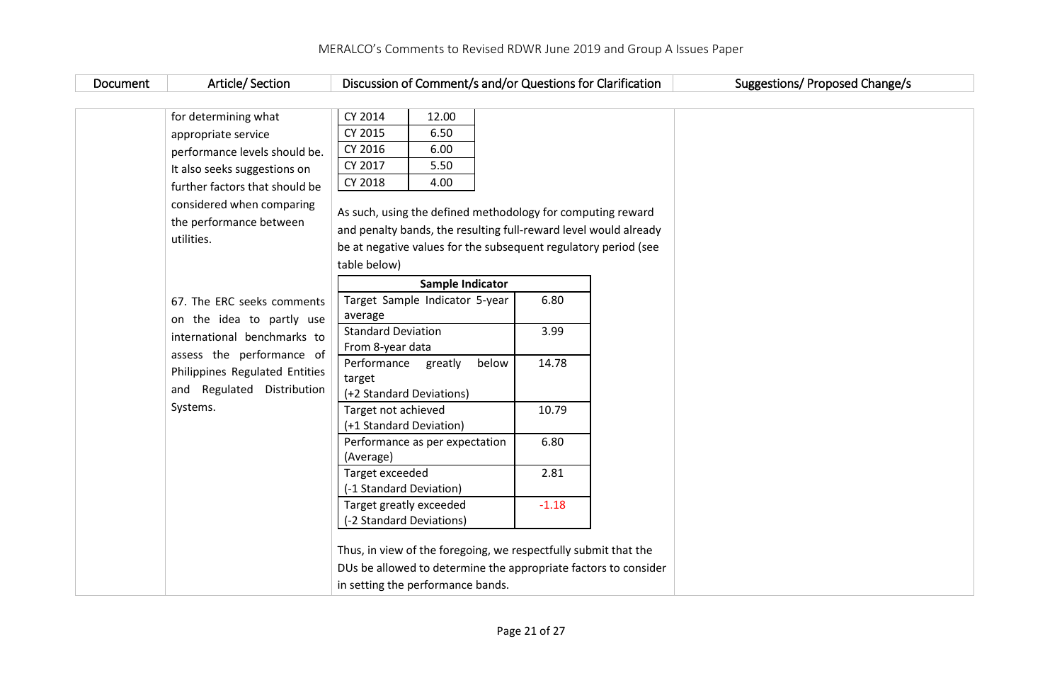| Document | Article/Section                                                    | Discussion of Comment/s and/or Questions for Clarification                                                                                                                                         |         | Suggestions/ Proposed Change/s |
|----------|--------------------------------------------------------------------|----------------------------------------------------------------------------------------------------------------------------------------------------------------------------------------------------|---------|--------------------------------|
|          |                                                                    |                                                                                                                                                                                                    |         |                                |
|          | for determining what                                               | CY 2014<br>12.00                                                                                                                                                                                   |         |                                |
|          | appropriate service                                                | CY 2015<br>6.50                                                                                                                                                                                    |         |                                |
|          | performance levels should be.                                      | CY 2016<br>6.00                                                                                                                                                                                    |         |                                |
|          | It also seeks suggestions on                                       | CY 2017<br>5.50                                                                                                                                                                                    |         |                                |
|          | further factors that should be                                     | CY 2018<br>4.00                                                                                                                                                                                    |         |                                |
|          | considered when comparing<br>the performance between<br>utilities. | As such, using the defined methodology for computing reward<br>and penalty bands, the resulting full-reward level would already<br>be at negative values for the subsequent regulatory period (see |         |                                |
|          |                                                                    | table below)                                                                                                                                                                                       |         |                                |
|          | 67. The ERC seeks comments                                         | Sample Indicator<br>Target Sample Indicator 5-year                                                                                                                                                 | 6.80    |                                |
|          | on the idea to partly use                                          | average                                                                                                                                                                                            |         |                                |
|          | international benchmarks to                                        | <b>Standard Deviation</b>                                                                                                                                                                          | 3.99    |                                |
|          | assess the performance of                                          | From 8-year data                                                                                                                                                                                   |         |                                |
|          | Philippines Regulated Entities<br>and Regulated Distribution       | Performance<br>greatly<br>below<br>target<br>(+2 Standard Deviations)                                                                                                                              | 14.78   |                                |
|          | Systems.                                                           | Target not achieved                                                                                                                                                                                | 10.79   |                                |
|          |                                                                    | (+1 Standard Deviation)                                                                                                                                                                            |         |                                |
|          |                                                                    | Performance as per expectation<br>(Average)                                                                                                                                                        | 6.80    |                                |
|          |                                                                    | Target exceeded<br>(-1 Standard Deviation)                                                                                                                                                         | 2.81    |                                |
|          |                                                                    | Target greatly exceeded<br>(-2 Standard Deviations)                                                                                                                                                | $-1.18$ |                                |
|          |                                                                    | Thus, in view of the foregoing, we respectfully submit that the<br>DUs be allowed to determine the appropriate factors to consider<br>in setting the performance bands.                            |         |                                |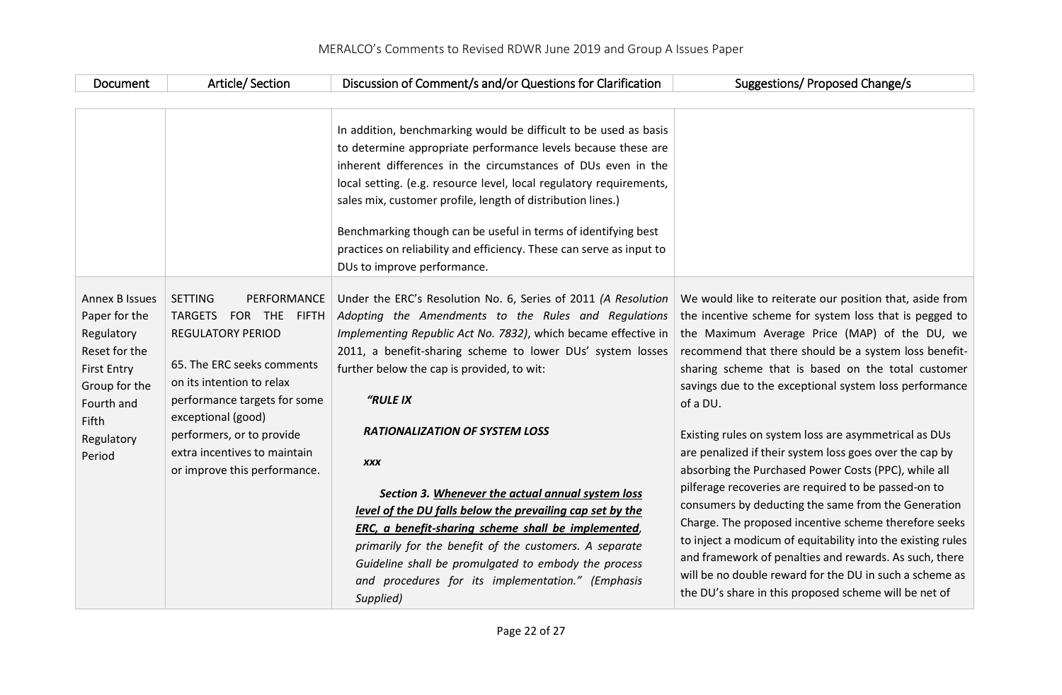| Document                                                                                                                                                           | Article/Section                                                                                                                                                                                                                                                                                            | Discussion of Comment/s and/or Questions for Clarification                                                                                                                                                                                                                                                                                                                                                                                                                                                       | Suggestions/ Proposed Change/s                                                                                                                                                                                                                                                                                                                           |                                                                                                                                                                                                                                                                                                    |
|--------------------------------------------------------------------------------------------------------------------------------------------------------------------|------------------------------------------------------------------------------------------------------------------------------------------------------------------------------------------------------------------------------------------------------------------------------------------------------------|------------------------------------------------------------------------------------------------------------------------------------------------------------------------------------------------------------------------------------------------------------------------------------------------------------------------------------------------------------------------------------------------------------------------------------------------------------------------------------------------------------------|----------------------------------------------------------------------------------------------------------------------------------------------------------------------------------------------------------------------------------------------------------------------------------------------------------------------------------------------------------|----------------------------------------------------------------------------------------------------------------------------------------------------------------------------------------------------------------------------------------------------------------------------------------------------|
|                                                                                                                                                                    |                                                                                                                                                                                                                                                                                                            |                                                                                                                                                                                                                                                                                                                                                                                                                                                                                                                  |                                                                                                                                                                                                                                                                                                                                                          |                                                                                                                                                                                                                                                                                                    |
|                                                                                                                                                                    |                                                                                                                                                                                                                                                                                                            | In addition, benchmarking would be difficult to be used as basis<br>to determine appropriate performance levels because these are<br>inherent differences in the circumstances of DUs even in the<br>local setting. (e.g. resource level, local regulatory requirements,<br>sales mix, customer profile, length of distribution lines.)<br>Benchmarking though can be useful in terms of identifying best<br>practices on reliability and efficiency. These can serve as input to<br>DUs to improve performance. |                                                                                                                                                                                                                                                                                                                                                          |                                                                                                                                                                                                                                                                                                    |
| <b>Annex B Issues</b><br>Paper for the<br>Regulatory<br>Reset for the<br><b>First Entry</b><br>Group for the<br>Fourth and<br><b>Fifth</b><br>Regulatory<br>Period | <b>SETTING</b><br>PERFORMANCE<br><b>TARGETS</b><br>FOR THE FIFTH<br><b>REGULATORY PERIOD</b><br>65. The ERC seeks comments<br>on its intention to relax<br>performance targets for some<br>exceptional (good)<br>performers, or to provide<br>extra incentives to maintain<br>or improve this performance. | Under the ERC's Resolution No. 6, Series of 2011 (A Resolution<br>Adopting the Amendments to the Rules and Regulations<br>Implementing Republic Act No. 7832), which became effective in<br>2011, a benefit-sharing scheme to lower DUs' system losses<br>further below the cap is provided, to wit:<br>"RULE IX                                                                                                                                                                                                 | We would like to reiterate our position that, aside from<br>the incentive scheme for system loss that is pegged to<br>the Maximum Average Price (MAP) of the DU, we<br>recommend that there should be a system loss benefit-<br>sharing scheme that is based on the total customer<br>savings due to the exceptional system loss performance<br>of a DU. |                                                                                                                                                                                                                                                                                                    |
|                                                                                                                                                                    |                                                                                                                                                                                                                                                                                                            |                                                                                                                                                                                                                                                                                                                                                                                                                                                                                                                  | <b>RATIONALIZATION OF SYSTEM LOSS</b>                                                                                                                                                                                                                                                                                                                    | Existing rules on system loss are asymmetrical as DUs<br>are penalized if their system loss goes over the cap by                                                                                                                                                                                   |
|                                                                                                                                                                    |                                                                                                                                                                                                                                                                                                            | <b>XXX</b>                                                                                                                                                                                                                                                                                                                                                                                                                                                                                                       | absorbing the Purchased Power Costs (PPC), while all<br>pilferage recoveries are required to be passed-on to                                                                                                                                                                                                                                             |                                                                                                                                                                                                                                                                                                    |
|                                                                                                                                                                    |                                                                                                                                                                                                                                                                                                            | Section 3. Whenever the actual annual system loss                                                                                                                                                                                                                                                                                                                                                                                                                                                                | consumers by deducting the same from the Generation                                                                                                                                                                                                                                                                                                      |                                                                                                                                                                                                                                                                                                    |
|                                                                                                                                                                    |                                                                                                                                                                                                                                                                                                            |                                                                                                                                                                                                                                                                                                                                                                                                                                                                                                                  | level of the DU falls below the prevailing cap set by the<br>ERC, a benefit-sharing scheme shall be implemented,<br>primarily for the benefit of the customers. A separate<br>Guideline shall be promulgated to embody the process<br>and procedures for its implementation." (Emphasis<br>Supplied)                                                     | Charge. The proposed incentive scheme therefore seeks<br>to inject a modicum of equitability into the existing rules<br>and framework of penalties and rewards. As such, there<br>will be no double reward for the DU in such a scheme as<br>the DU's share in this proposed scheme will be net of |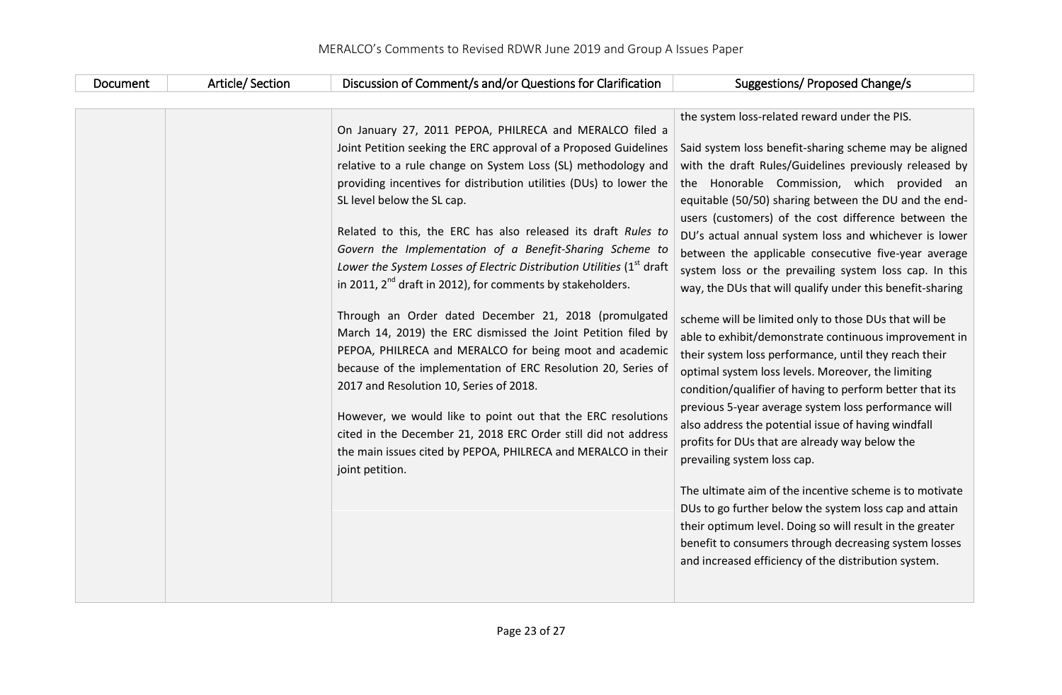| Document | Article/Section | Discussion of Comment/s and/or Questions for Clarification                                                                                                                                                                                                                                                                                                                                                                                                                                                                                                                                                                                                                                                                                                                                                                                                                                                                                                                                                                                                                                                          | Suggestions/ Proposed Change/s                                                                                                                                                                                                                                                                                                                                                                                                                                                                                                                                                                                                                                                                                                                                                                                                                                                                                                                                                                                                                                                                                                                                                                                                                                                                                                                                           |
|----------|-----------------|---------------------------------------------------------------------------------------------------------------------------------------------------------------------------------------------------------------------------------------------------------------------------------------------------------------------------------------------------------------------------------------------------------------------------------------------------------------------------------------------------------------------------------------------------------------------------------------------------------------------------------------------------------------------------------------------------------------------------------------------------------------------------------------------------------------------------------------------------------------------------------------------------------------------------------------------------------------------------------------------------------------------------------------------------------------------------------------------------------------------|--------------------------------------------------------------------------------------------------------------------------------------------------------------------------------------------------------------------------------------------------------------------------------------------------------------------------------------------------------------------------------------------------------------------------------------------------------------------------------------------------------------------------------------------------------------------------------------------------------------------------------------------------------------------------------------------------------------------------------------------------------------------------------------------------------------------------------------------------------------------------------------------------------------------------------------------------------------------------------------------------------------------------------------------------------------------------------------------------------------------------------------------------------------------------------------------------------------------------------------------------------------------------------------------------------------------------------------------------------------------------|
|          |                 | On January 27, 2011 PEPOA, PHILRECA and MERALCO filed a<br>Joint Petition seeking the ERC approval of a Proposed Guidelines<br>relative to a rule change on System Loss (SL) methodology and<br>providing incentives for distribution utilities (DUs) to lower the<br>SL level below the SL cap.<br>Related to this, the ERC has also released its draft Rules to<br>Govern the Implementation of a Benefit-Sharing Scheme to<br>Lower the System Losses of Electric Distribution Utilities (1 <sup>st</sup> draft<br>in 2011, 2 <sup>nd</sup> draft in 2012), for comments by stakeholders.<br>Through an Order dated December 21, 2018 (promulgated<br>March 14, 2019) the ERC dismissed the Joint Petition filed by<br>PEPOA, PHILRECA and MERALCO for being moot and academic<br>because of the implementation of ERC Resolution 20, Series of<br>2017 and Resolution 10, Series of 2018.<br>However, we would like to point out that the ERC resolutions<br>cited in the December 21, 2018 ERC Order still did not address<br>the main issues cited by PEPOA, PHILRECA and MERALCO in their<br>joint petition. | the system loss-related reward under the PIS.<br>Said system loss benefit-sharing scheme may be aligned<br>with the draft Rules/Guidelines previously released by<br>the Honorable Commission, which provided an<br>equitable (50/50) sharing between the DU and the end-<br>users (customers) of the cost difference between the<br>DU's actual annual system loss and whichever is lower<br>between the applicable consecutive five-year average<br>system loss or the prevailing system loss cap. In this<br>way, the DUs that will qualify under this benefit-sharing<br>scheme will be limited only to those DUs that will be<br>able to exhibit/demonstrate continuous improvement in<br>their system loss performance, until they reach their<br>optimal system loss levels. Moreover, the limiting<br>condition/qualifier of having to perform better that its<br>previous 5-year average system loss performance will<br>also address the potential issue of having windfall<br>profits for DUs that are already way below the<br>prevailing system loss cap.<br>The ultimate aim of the incentive scheme is to motivate<br>DUs to go further below the system loss cap and attain<br>their optimum level. Doing so will result in the greater<br>benefit to consumers through decreasing system losses<br>and increased efficiency of the distribution system. |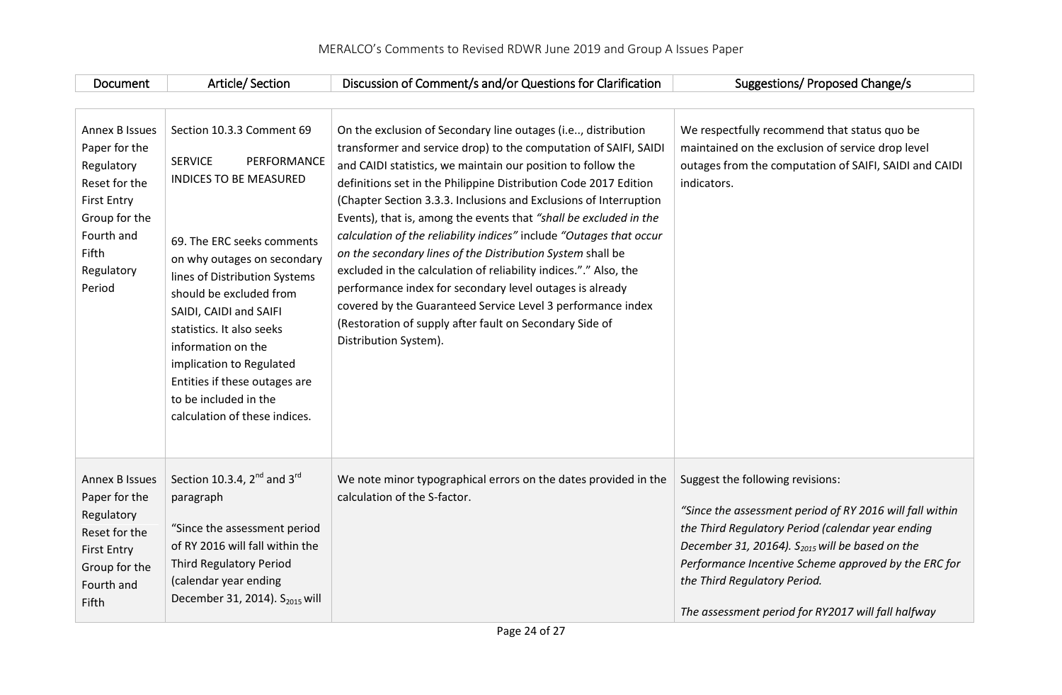| Document                                                                                                                                             | Article/Section                                                                                                                                                                                                                                                                                                                                                                                                          | Discussion of Comment/s and/or Questions for Clarification                                                                                                                                                                                                                                                                                                                                                                                                                                                                                                                                                                                                                                                                                                                                                                              | Suggestions/ Proposed Change/s                                                                                                                                                                                                                                                                                                                       |
|------------------------------------------------------------------------------------------------------------------------------------------------------|--------------------------------------------------------------------------------------------------------------------------------------------------------------------------------------------------------------------------------------------------------------------------------------------------------------------------------------------------------------------------------------------------------------------------|-----------------------------------------------------------------------------------------------------------------------------------------------------------------------------------------------------------------------------------------------------------------------------------------------------------------------------------------------------------------------------------------------------------------------------------------------------------------------------------------------------------------------------------------------------------------------------------------------------------------------------------------------------------------------------------------------------------------------------------------------------------------------------------------------------------------------------------------|------------------------------------------------------------------------------------------------------------------------------------------------------------------------------------------------------------------------------------------------------------------------------------------------------------------------------------------------------|
| Annex B Issues<br>Paper for the<br>Regulatory<br>Reset for the<br><b>First Entry</b><br>Group for the<br>Fourth and<br>Fifth<br>Regulatory<br>Period | Section 10.3.3 Comment 69<br><b>SERVICE</b><br>PERFORMANCE<br><b>INDICES TO BE MEASURED</b><br>69. The ERC seeks comments<br>on why outages on secondary<br>lines of Distribution Systems<br>should be excluded from<br>SAIDI, CAIDI and SAIFI<br>statistics. It also seeks<br>information on the<br>implication to Regulated<br>Entities if these outages are<br>to be included in the<br>calculation of these indices. | On the exclusion of Secondary line outages (i.e, distribution<br>transformer and service drop) to the computation of SAIFI, SAIDI<br>and CAIDI statistics, we maintain our position to follow the<br>definitions set in the Philippine Distribution Code 2017 Edition<br>(Chapter Section 3.3.3. Inclusions and Exclusions of Interruption<br>Events), that is, among the events that "shall be excluded in the<br>calculation of the reliability indices" include "Outages that occur<br>on the secondary lines of the Distribution System shall be<br>excluded in the calculation of reliability indices."." Also, the<br>performance index for secondary level outages is already<br>covered by the Guaranteed Service Level 3 performance index<br>(Restoration of supply after fault on Secondary Side of<br>Distribution System). | We respectfully recommend that status quo be<br>maintained on the exclusion of service drop level<br>outages from the computation of SAIFI, SAIDI and CAIDI<br>indicators.                                                                                                                                                                           |
| <b>Annex B Issues</b><br>Paper for the<br>Regulatory<br>Reset for the<br><b>First Entry</b><br>Group for the<br>Fourth and<br>Fifth                  | Section 10.3.4, $2^{nd}$ and $3^{rd}$<br>paragraph<br>"Since the assessment period<br>of RY 2016 will fall within the<br><b>Third Regulatory Period</b><br>(calendar year ending<br>December 31, 2014). S <sub>2015</sub> will                                                                                                                                                                                           | We note minor typographical errors on the dates provided in the<br>calculation of the S-factor.                                                                                                                                                                                                                                                                                                                                                                                                                                                                                                                                                                                                                                                                                                                                         | Suggest the following revisions:<br>"Since the assessment period of RY 2016 will fall within<br>the Third Regulatory Period (calendar year ending<br>December 31, 20164). $S2015$ will be based on the<br>Performance Incentive Scheme approved by the ERC for<br>the Third Regulatory Period.<br>The assessment period for RY2017 will fall halfway |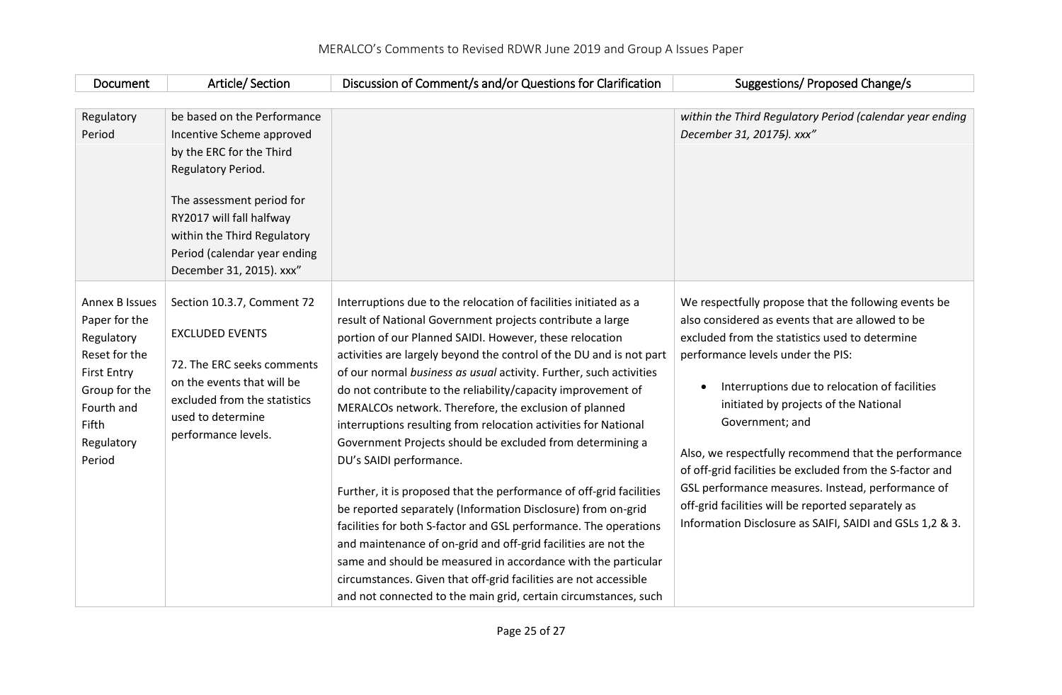| Document                                                                                                                                                    | Article/Section                                                                                                                                                                                                                                                | Discussion of Comment/s and/or Questions for Clarification                                                                                                                                                                                                                                                                                                                                                                                                                                                                                                                                                                                                                                                                                                                                                                                                                                                                                                                                                                                                                                                     | Suggestions/ Proposed Change/s                                                                                                                                                                                                                                                                                                                                                                                                                                                                                                                                                                                       |
|-------------------------------------------------------------------------------------------------------------------------------------------------------------|----------------------------------------------------------------------------------------------------------------------------------------------------------------------------------------------------------------------------------------------------------------|----------------------------------------------------------------------------------------------------------------------------------------------------------------------------------------------------------------------------------------------------------------------------------------------------------------------------------------------------------------------------------------------------------------------------------------------------------------------------------------------------------------------------------------------------------------------------------------------------------------------------------------------------------------------------------------------------------------------------------------------------------------------------------------------------------------------------------------------------------------------------------------------------------------------------------------------------------------------------------------------------------------------------------------------------------------------------------------------------------------|----------------------------------------------------------------------------------------------------------------------------------------------------------------------------------------------------------------------------------------------------------------------------------------------------------------------------------------------------------------------------------------------------------------------------------------------------------------------------------------------------------------------------------------------------------------------------------------------------------------------|
|                                                                                                                                                             |                                                                                                                                                                                                                                                                |                                                                                                                                                                                                                                                                                                                                                                                                                                                                                                                                                                                                                                                                                                                                                                                                                                                                                                                                                                                                                                                                                                                |                                                                                                                                                                                                                                                                                                                                                                                                                                                                                                                                                                                                                      |
| Regulatory<br>Period                                                                                                                                        | be based on the Performance<br>Incentive Scheme approved<br>by the ERC for the Third<br>Regulatory Period.<br>The assessment period for<br>RY2017 will fall halfway<br>within the Third Regulatory<br>Period (calendar year ending<br>December 31, 2015). xxx" |                                                                                                                                                                                                                                                                                                                                                                                                                                                                                                                                                                                                                                                                                                                                                                                                                                                                                                                                                                                                                                                                                                                | within the Third Regulatory Period (calendar year ending<br>December 31, 20175). xxx"                                                                                                                                                                                                                                                                                                                                                                                                                                                                                                                                |
| <b>Annex B Issues</b><br>Paper for the<br>Regulatory<br>Reset for the<br><b>First Entry</b><br>Group for the<br>Fourth and<br>Fifth<br>Regulatory<br>Period | Section 10.3.7, Comment 72<br><b>EXCLUDED EVENTS</b><br>72. The ERC seeks comments<br>on the events that will be<br>excluded from the statistics<br>used to determine<br>performance levels.                                                                   | Interruptions due to the relocation of facilities initiated as a<br>result of National Government projects contribute a large<br>portion of our Planned SAIDI. However, these relocation<br>activities are largely beyond the control of the DU and is not part<br>of our normal business as usual activity. Further, such activities<br>do not contribute to the reliability/capacity improvement of<br>MERALCOs network. Therefore, the exclusion of planned<br>interruptions resulting from relocation activities for National<br>Government Projects should be excluded from determining a<br>DU's SAIDI performance.<br>Further, it is proposed that the performance of off-grid facilities<br>be reported separately (Information Disclosure) from on-grid<br>facilities for both S-factor and GSL performance. The operations<br>and maintenance of on-grid and off-grid facilities are not the<br>same and should be measured in accordance with the particular<br>circumstances. Given that off-grid facilities are not accessible<br>and not connected to the main grid, certain circumstances, such | We respectfully propose that the following events be<br>also considered as events that are allowed to be<br>excluded from the statistics used to determine<br>performance levels under the PIS:<br>Interruptions due to relocation of facilities<br>$\bullet$<br>initiated by projects of the National<br>Government; and<br>Also, we respectfully recommend that the performance<br>of off-grid facilities be excluded from the S-factor and<br>GSL performance measures. Instead, performance of<br>off-grid facilities will be reported separately as<br>Information Disclosure as SAIFI, SAIDI and GSLs 1,2 & 3. |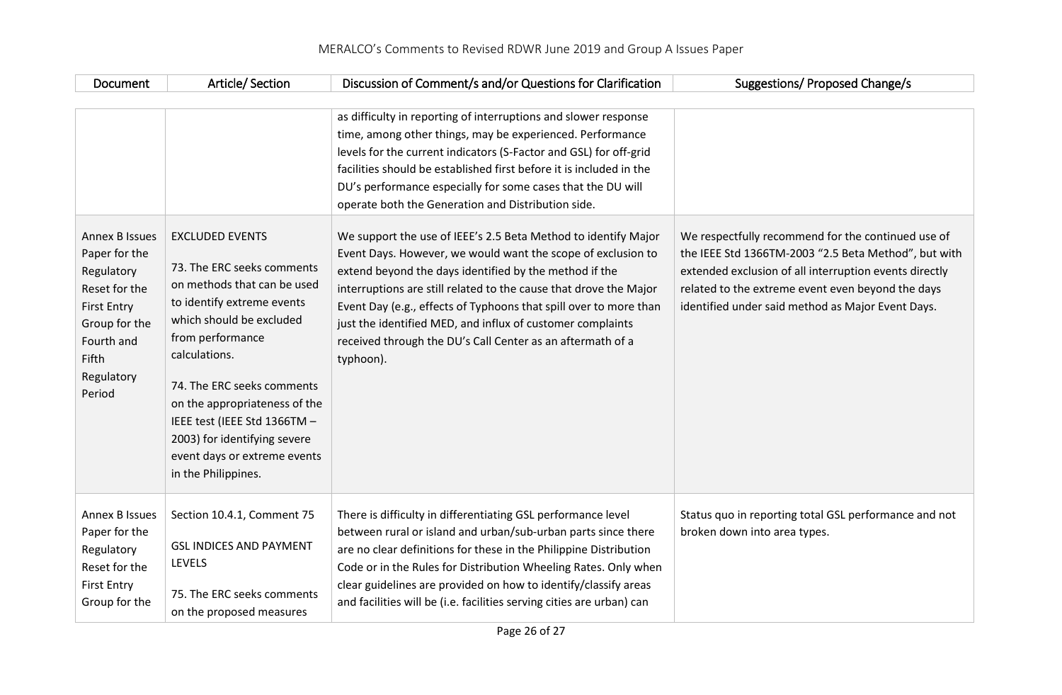| Document                                                                                                                                                    | Article/Section                                                                                                                                                                                                                                                                                                                                                          | Discussion of Comment/s and/or Questions for Clarification                                                                                                                                                                                                                                                                                                                                                                                                                                                                                                                                                                                                                                                                                                                                                                                                                   | Suggestions/ Proposed Change/s                                                                                                                                                                                                                                                 |
|-------------------------------------------------------------------------------------------------------------------------------------------------------------|--------------------------------------------------------------------------------------------------------------------------------------------------------------------------------------------------------------------------------------------------------------------------------------------------------------------------------------------------------------------------|------------------------------------------------------------------------------------------------------------------------------------------------------------------------------------------------------------------------------------------------------------------------------------------------------------------------------------------------------------------------------------------------------------------------------------------------------------------------------------------------------------------------------------------------------------------------------------------------------------------------------------------------------------------------------------------------------------------------------------------------------------------------------------------------------------------------------------------------------------------------------|--------------------------------------------------------------------------------------------------------------------------------------------------------------------------------------------------------------------------------------------------------------------------------|
| <b>Annex B Issues</b><br>Paper for the<br>Regulatory<br>Reset for the<br><b>First Entry</b><br>Group for the<br>Fourth and<br>Fifth<br>Regulatory<br>Period | <b>EXCLUDED EVENTS</b><br>73. The ERC seeks comments<br>on methods that can be used<br>to identify extreme events<br>which should be excluded<br>from performance<br>calculations.<br>74. The ERC seeks comments<br>on the appropriateness of the<br>IEEE test (IEEE Std 1366TM -<br>2003) for identifying severe<br>event days or extreme events<br>in the Philippines. | as difficulty in reporting of interruptions and slower response<br>time, among other things, may be experienced. Performance<br>levels for the current indicators (S-Factor and GSL) for off-grid<br>facilities should be established first before it is included in the<br>DU's performance especially for some cases that the DU will<br>operate both the Generation and Distribution side.<br>We support the use of IEEE's 2.5 Beta Method to identify Major<br>Event Days. However, we would want the scope of exclusion to<br>extend beyond the days identified by the method if the<br>interruptions are still related to the cause that drove the Major<br>Event Day (e.g., effects of Typhoons that spill over to more than<br>just the identified MED, and influx of customer complaints<br>received through the DU's Call Center as an aftermath of a<br>typhoon). | We respectfully recommend for the continued use of<br>the IEEE Std 1366TM-2003 "2.5 Beta Method", but with<br>extended exclusion of all interruption events directly<br>related to the extreme event even beyond the days<br>identified under said method as Major Event Days. |
| <b>Annex B Issues</b><br>Paper for the<br>Regulatory<br>Reset for the<br><b>First Entry</b><br>Group for the                                                | Section 10.4.1, Comment 75<br><b>GSL INDICES AND PAYMENT</b><br><b>LEVELS</b><br>75. The ERC seeks comments<br>on the proposed measures                                                                                                                                                                                                                                  | There is difficulty in differentiating GSL performance level<br>between rural or island and urban/sub-urban parts since there<br>are no clear definitions for these in the Philippine Distribution<br>Code or in the Rules for Distribution Wheeling Rates. Only when<br>clear guidelines are provided on how to identify/classify areas<br>and facilities will be (i.e. facilities serving cities are urban) can                                                                                                                                                                                                                                                                                                                                                                                                                                                            | Status quo in reporting total GSL performance and not<br>broken down into area types.                                                                                                                                                                                          |